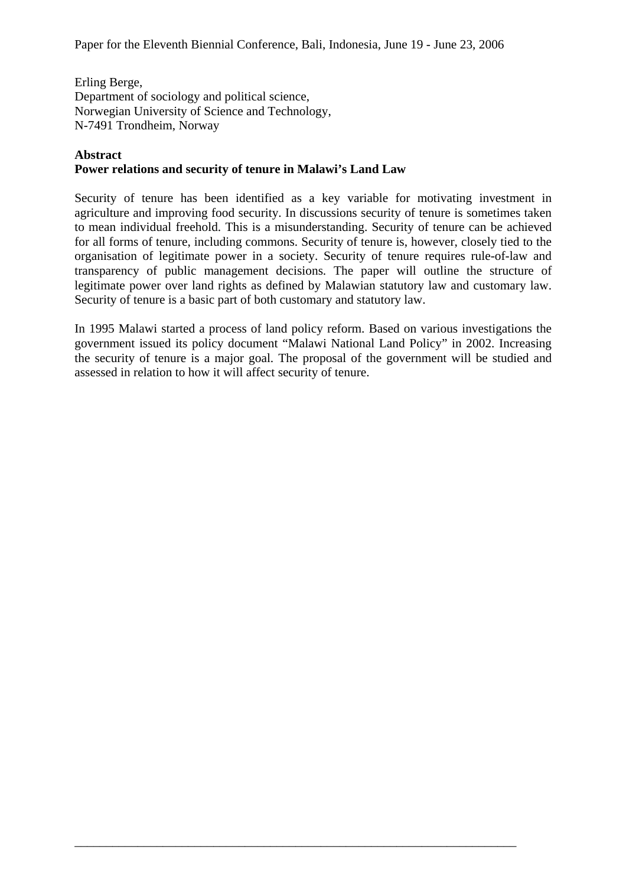Erling Berge, Department of sociology and political science, Norwegian University of Science and Technology, N-7491 Trondheim, Norway

#### **Abstract**

## **Power relations and security of tenure in Malawi's Land Law**

Security of tenure has been identified as a key variable for motivating investment in agriculture and improving food security. In discussions security of tenure is sometimes taken to mean individual freehold. This is a misunderstanding. Security of tenure can be achieved for all forms of tenure, including commons. Security of tenure is, however, closely tied to the organisation of legitimate power in a society. Security of tenure requires rule-of-law and transparency of public management decisions. The paper will outline the structure of legitimate power over land rights as defined by Malawian statutory law and customary law. Security of tenure is a basic part of both customary and statutory law.

In 1995 Malawi started a process of land policy reform. Based on various investigations the government issued its policy document "Malawi National Land Policy" in 2002. Increasing the security of tenure is a major goal. The proposal of the government will be studied and assessed in relation to how it will affect security of tenure.

\_\_\_\_\_\_\_\_\_\_\_\_\_\_\_\_\_\_\_\_\_\_\_\_\_\_\_\_\_\_\_\_\_\_\_\_\_\_\_\_\_\_\_\_\_\_\_\_\_\_\_\_\_\_\_\_\_\_\_\_\_\_\_\_\_\_\_\_\_\_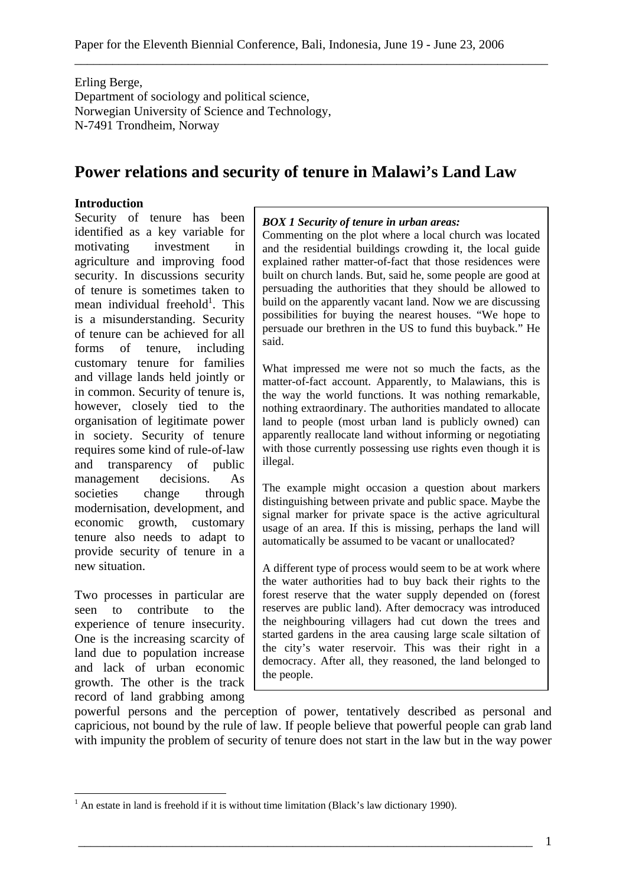Erling Berge, Department of sociology and political science, Norwegian University of Science and Technology, N-7491 Trondheim, Norway

# **Power relations and security of tenure in Malawi's Land Law**

#### **Introduction**

Security of tenure has been identified as a key variable for motivating investment in agriculture and improving food security. In discussions security of tenure is sometimes taken to mean individual freehold<sup>1</sup>. This is a misunderstanding. Security of tenure can be achieved for all forms of tenure, including customary tenure for families and village lands held jointly or in common. Security of tenure is, however, closely tied to the organisation of legitimate power in society. Security of tenure requires some kind of rule-of-law and transparency of public<br>management decisions. As management decisions. As societies change through modernisation, development, and economic growth, customary tenure also needs to adapt to provide security of tenure in a new situation.

Two processes in particular are seen to contribute to the experience of tenure insecurity. One is the increasing scarcity of land due to population increase and lack of urban economic growth. The other is the track record of land grabbing among

 $\overline{a}$ 

#### *BOX 1 Security of tenure in urban areas:*

Commenting on the plot where a local church was located and the residential buildings crowding it, the local guide explained rather matter-of-fact that those residences were built on church lands. But, said he, some people are good at persuading the authorities that they should be allowed to build on the apparently vacant land. Now we are discussing possibilities for buying the nearest houses. "We hope to persuade our brethren in the US to fund this buyback." He said.

What impressed me were not so much the facts, as the matter-of-fact account. Apparently, to Malawians, this is the way the world functions. It was nothing remarkable, nothing extraordinary. The authorities mandated to allocate land to people (most urban land is publicly owned) can apparently reallocate land without informing or negotiating with those currently possessing use rights even though it is illegal.

The example might occasion a question about markers distinguishing between private and public space. Maybe the signal marker for private space is the active agricultural usage of an area. If this is missing, perhaps the land will automatically be assumed to be vacant or unallocated?

A different type of process would seem to be at work where the water authorities had to buy back their rights to the forest reserve that the water supply depended on (forest reserves are public land). After democracy was introduced the neighbouring villagers had cut down the trees and started gardens in the area causing large scale siltation of the city's water reservoir. This was their right in a democracy. After all, they reasoned, the land belonged to the people.

powerful persons and the perception of power, tentatively described as personal and capricious, not bound by the rule of law. If people believe that powerful people can grab land with impunity the problem of security of tenure does not start in the law but in the way power

 $<sup>1</sup>$  An estate in land is freehold if it is without time limitation (Black's law dictionary 1990).</sup>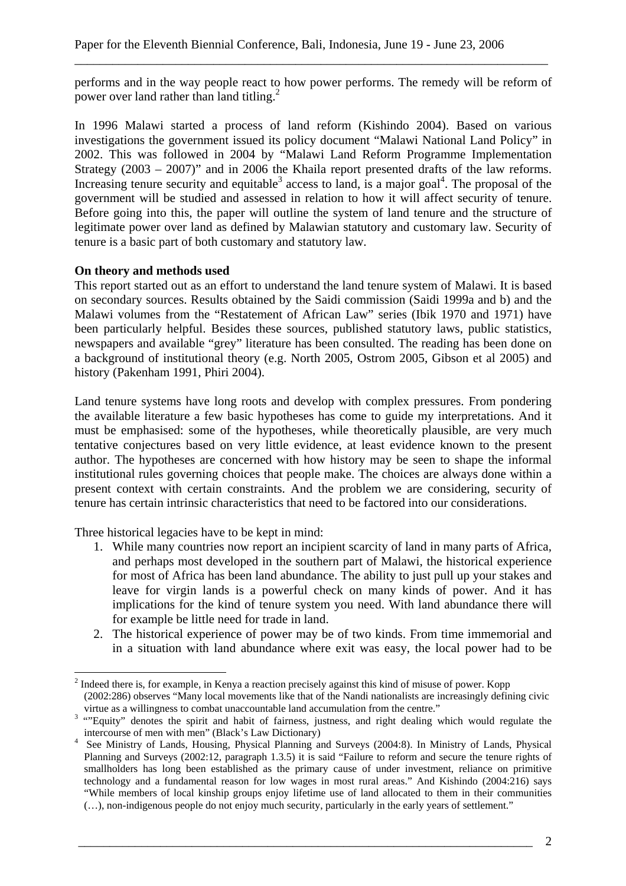performs and in the way people react to how power performs. The remedy will be reform of power over land rather than land titling.<sup>2</sup>

\_\_\_\_\_\_\_\_\_\_\_\_\_\_\_\_\_\_\_\_\_\_\_\_\_\_\_\_\_\_\_\_\_\_\_\_\_\_\_\_\_\_\_\_\_\_\_\_\_\_\_\_\_\_\_\_\_\_\_\_\_\_\_\_\_\_\_\_\_\_\_\_\_\_\_

In 1996 Malawi started a process of land reform (Kishindo 2004). Based on various investigations the government issued its policy document "Malawi National Land Policy" in 2002. This was followed in 2004 by "Malawi Land Reform Programme Implementation Strategy (2003 – 2007)" and in 2006 the Khaila report presented drafts of the law reforms. Increasing tenure security and equitable<sup>3</sup> access to land, is a major goal<sup>4</sup>. The proposal of the government will be studied and assessed in relation to how it will affect security of tenure. Before going into this, the paper will outline the system of land tenure and the structure of legitimate power over land as defined by Malawian statutory and customary law. Security of tenure is a basic part of both customary and statutory law.

## **On theory and methods used**

This report started out as an effort to understand the land tenure system of Malawi. It is based on secondary sources. Results obtained by the Saidi commission (Saidi 1999a and b) and the Malawi volumes from the "Restatement of African Law" series (Ibik 1970 and 1971) have been particularly helpful. Besides these sources, published statutory laws, public statistics, newspapers and available "grey" literature has been consulted. The reading has been done on a background of institutional theory (e.g. North 2005, Ostrom 2005, Gibson et al 2005) and history (Pakenham 1991, Phiri 2004).

Land tenure systems have long roots and develop with complex pressures. From pondering the available literature a few basic hypotheses has come to guide my interpretations. And it must be emphasised: some of the hypotheses, while theoretically plausible, are very much tentative conjectures based on very little evidence, at least evidence known to the present author. The hypotheses are concerned with how history may be seen to shape the informal institutional rules governing choices that people make. The choices are always done within a present context with certain constraints. And the problem we are considering, security of tenure has certain intrinsic characteristics that need to be factored into our considerations.

Three historical legacies have to be kept in mind:

 $\overline{a}$ 

- 1. While many countries now report an incipient scarcity of land in many parts of Africa, and perhaps most developed in the southern part of Malawi, the historical experience for most of Africa has been land abundance. The ability to just pull up your stakes and leave for virgin lands is a powerful check on many kinds of power. And it has implications for the kind of tenure system you need. With land abundance there will for example be little need for trade in land.
- 2. The historical experience of power may be of two kinds. From time immemorial and in a situation with land abundance where exit was easy, the local power had to be

 $2<sup>2</sup>$  Indeed there is, for example, in Kenya a reaction precisely against this kind of misuse of power. Kopp

<sup>(2002:286)</sup> observes "Many local movements like that of the Nandi nationalists are increasingly defining civic wirtue as a willingness to combat unaccountable land accumulation from the centre."<br><sup>3</sup> "Equity" denotes the spirit and habit of fairness, justness, and right dealing which would regulate the

intercourse of men with men" (Black's Law Dictionary)<br>
<sup>4</sup> See Ministry of Lands, Housing, Physical Planning and Surveys (2004:8). In Ministry of Lands, Physical

Planning and Surveys (2002:12, paragraph 1.3.5) it is said "Failure to reform and secure the tenure rights of smallholders has long been established as the primary cause of under investment, reliance on primitive technology and a fundamental reason for low wages in most rural areas." And Kishindo (2004:216) says "While members of local kinship groups enjoy lifetime use of land allocated to them in their communities (…), non-indigenous people do not enjoy much security, particularly in the early years of settlement."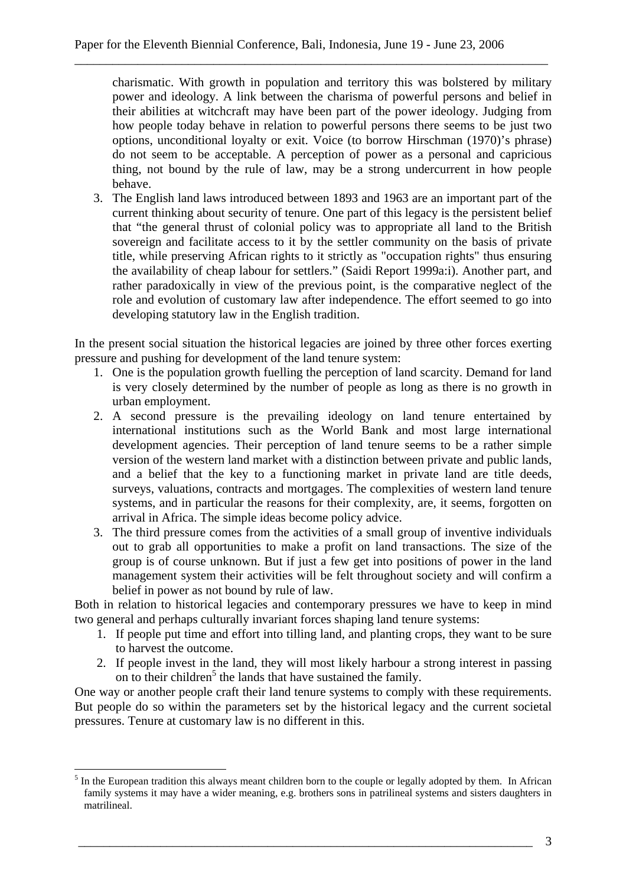charismatic. With growth in population and territory this was bolstered by military power and ideology. A link between the charisma of powerful persons and belief in their abilities at witchcraft may have been part of the power ideology. Judging from how people today behave in relation to powerful persons there seems to be just two options, unconditional loyalty or exit. Voice (to borrow Hirschman (1970)'s phrase) do not seem to be acceptable. A perception of power as a personal and capricious thing, not bound by the rule of law, may be a strong undercurrent in how people behave.

3. The English land laws introduced between 1893 and 1963 are an important part of the current thinking about security of tenure. One part of this legacy is the persistent belief that "the general thrust of colonial policy was to appropriate all land to the British sovereign and facilitate access to it by the settler community on the basis of private title, while preserving African rights to it strictly as "occupation rights" thus ensuring the availability of cheap labour for settlers." (Saidi Report 1999a:i). Another part, and rather paradoxically in view of the previous point, is the comparative neglect of the role and evolution of customary law after independence. The effort seemed to go into developing statutory law in the English tradition.

In the present social situation the historical legacies are joined by three other forces exerting pressure and pushing for development of the land tenure system:

- 1. One is the population growth fuelling the perception of land scarcity. Demand for land is very closely determined by the number of people as long as there is no growth in urban employment.
- 2. A second pressure is the prevailing ideology on land tenure entertained by international institutions such as the World Bank and most large international development agencies. Their perception of land tenure seems to be a rather simple version of the western land market with a distinction between private and public lands, and a belief that the key to a functioning market in private land are title deeds, surveys, valuations, contracts and mortgages. The complexities of western land tenure systems, and in particular the reasons for their complexity, are, it seems, forgotten on arrival in Africa. The simple ideas become policy advice.
- 3. The third pressure comes from the activities of a small group of inventive individuals out to grab all opportunities to make a profit on land transactions. The size of the group is of course unknown. But if just a few get into positions of power in the land management system their activities will be felt throughout society and will confirm a belief in power as not bound by rule of law.

Both in relation to historical legacies and contemporary pressures we have to keep in mind two general and perhaps culturally invariant forces shaping land tenure systems:

- 1. If people put time and effort into tilling land, and planting crops, they want to be sure to harvest the outcome.
- 2. If people invest in the land, they will most likely harbour a strong interest in passing on to their children<sup>5</sup> the lands that have sustained the family.

One way or another people craft their land tenure systems to comply with these requirements. But people do so within the parameters set by the historical legacy and the current societal pressures. Tenure at customary law is no different in this.

 $\overline{a}$ 

 $<sup>5</sup>$  In the European tradition this always meant children born to the couple or legally adopted by them. In African</sup> family systems it may have a wider meaning, e.g. brothers sons in patrilineal systems and sisters daughters in matrilineal.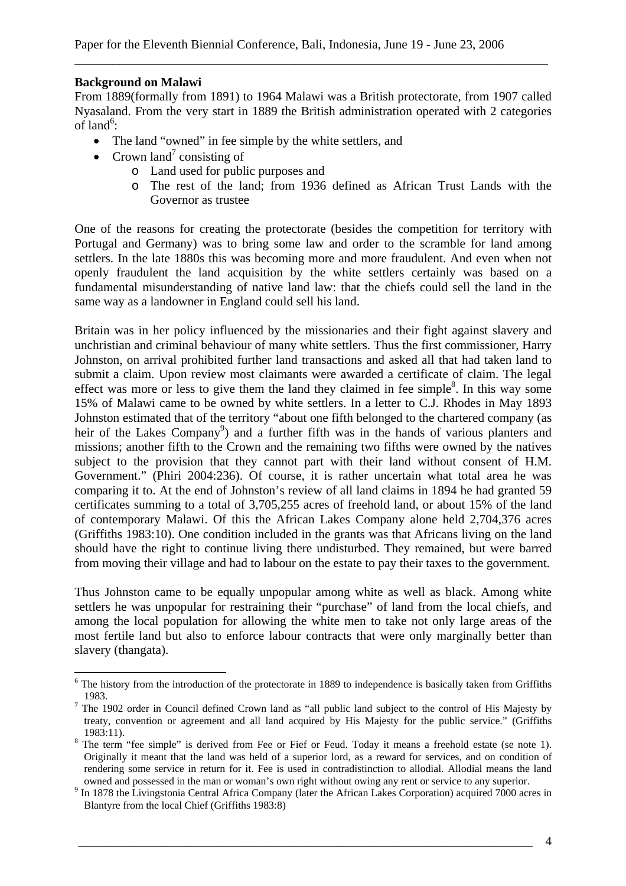## **Background on Malawi**

 $\overline{a}$ 

From 1889(formally from 1891) to 1964 Malawi was a British protectorate, from 1907 called Nyasaland. From the very start in 1889 the British administration operated with 2 categories of land<sup>6</sup>:

\_\_\_\_\_\_\_\_\_\_\_\_\_\_\_\_\_\_\_\_\_\_\_\_\_\_\_\_\_\_\_\_\_\_\_\_\_\_\_\_\_\_\_\_\_\_\_\_\_\_\_\_\_\_\_\_\_\_\_\_\_\_\_\_\_\_\_\_\_\_\_\_\_\_\_

- The land "owned" in fee simple by the white settlers, and
- Crown land<sup>7</sup> consisting of
	- o Land used for public purposes and
	- o The rest of the land; from 1936 defined as African Trust Lands with the Governor as trustee

One of the reasons for creating the protectorate (besides the competition for territory with Portugal and Germany) was to bring some law and order to the scramble for land among settlers. In the late 1880s this was becoming more and more fraudulent. And even when not openly fraudulent the land acquisition by the white settlers certainly was based on a fundamental misunderstanding of native land law: that the chiefs could sell the land in the same way as a landowner in England could sell his land.

Britain was in her policy influenced by the missionaries and their fight against slavery and unchristian and criminal behaviour of many white settlers. Thus the first commissioner, Harry Johnston, on arrival prohibited further land transactions and asked all that had taken land to submit a claim. Upon review most claimants were awarded a certificate of claim. The legal effect was more or less to give them the land they claimed in fee simple $\delta$ . In this way some 15% of Malawi came to be owned by white settlers. In a letter to C.J. Rhodes in May 1893 Johnston estimated that of the territory "about one fifth belonged to the chartered company (as heir of the Lakes Company<sup>9</sup>) and a further fifth was in the hands of various planters and missions; another fifth to the Crown and the remaining two fifths were owned by the natives subject to the provision that they cannot part with their land without consent of H.M. Government." (Phiri 2004:236). Of course, it is rather uncertain what total area he was comparing it to. At the end of Johnston's review of all land claims in 1894 he had granted 59 certificates summing to a total of 3,705,255 acres of freehold land, or about 15% of the land of contemporary Malawi. Of this the African Lakes Company alone held 2,704,376 acres (Griffiths 1983:10). One condition included in the grants was that Africans living on the land should have the right to continue living there undisturbed. They remained, but were barred from moving their village and had to labour on the estate to pay their taxes to the government.

Thus Johnston came to be equally unpopular among white as well as black. Among white settlers he was unpopular for restraining their "purchase" of land from the local chiefs, and among the local population for allowing the white men to take not only large areas of the most fertile land but also to enforce labour contracts that were only marginally better than slavery (thangata).

 $6$  The history from the introduction of the protectorate in 1889 to independence is basically taken from Griffiths 1983.<br><sup>7</sup> The 1902 order in Council defined Crown land as "all public land subject to the control of His Majesty by

treaty, convention or agreement and all land acquired by His Majesty for the public service." (Griffiths 1983:11).<br><sup>8</sup> The term "fee simple" is derived from Fee or Fief or Feud. Today it means a freehold estate (se note 1).

Originally it meant that the land was held of a superior lord, as a reward for services, and on condition of rendering some service in return for it. Fee is used in contradistinction to allodial. Allodial means the land

owned and possessed in the man or woman's own right without owing any rent or service to any superior.<br><sup>9</sup> In 1878 the Livingstonia Central Africa Company (later the African Lakes Corporation) acquired 7000 acres in Blantyre from the local Chief (Griffiths 1983:8)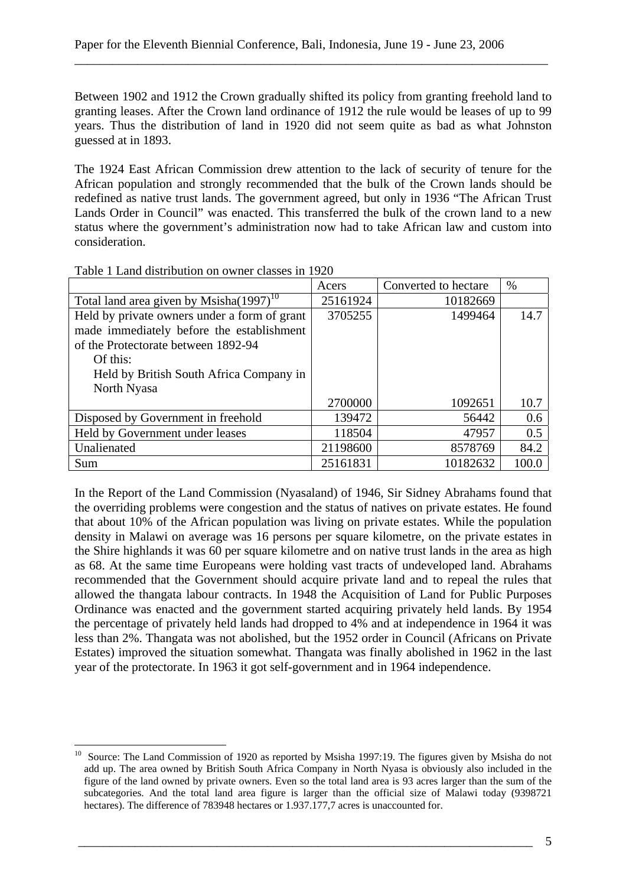Between 1902 and 1912 the Crown gradually shifted its policy from granting freehold land to granting leases. After the Crown land ordinance of 1912 the rule would be leases of up to 99 years. Thus the distribution of land in 1920 did not seem quite as bad as what Johnston guessed at in 1893.

\_\_\_\_\_\_\_\_\_\_\_\_\_\_\_\_\_\_\_\_\_\_\_\_\_\_\_\_\_\_\_\_\_\_\_\_\_\_\_\_\_\_\_\_\_\_\_\_\_\_\_\_\_\_\_\_\_\_\_\_\_\_\_\_\_\_\_\_\_\_\_\_\_\_\_

The 1924 East African Commission drew attention to the lack of security of tenure for the African population and strongly recommended that the bulk of the Crown lands should be redefined as native trust lands. The government agreed, but only in 1936 "The African Trust Lands Order in Council" was enacted. This transferred the bulk of the crown land to a new status where the government's administration now had to take African law and custom into consideration.

|                                               | Acers    | Converted to hectare | $\%$  |
|-----------------------------------------------|----------|----------------------|-------|
| Total land area given by Msisha $(1997)^{10}$ | 25161924 | 10182669             |       |
| Held by private owners under a form of grant  | 3705255  | 1499464              | 14.7  |
| made immediately before the establishment     |          |                      |       |
| of the Protectorate between 1892-94           |          |                      |       |
| Of this:                                      |          |                      |       |
| Held by British South Africa Company in       |          |                      |       |
| North Nyasa                                   |          |                      |       |
|                                               | 2700000  | 1092651              | 10.7  |
| Disposed by Government in freehold            | 139472   | 56442                | 0.6   |
| Held by Government under leases               | 118504   | 47957                | 0.5   |
| Unalienated                                   | 21198600 | 8578769              | 84.2  |
| Sum                                           | 25161831 | 10182632             | 100.0 |

Table 1 Land distribution on owner classes in 1920

In the Report of the Land Commission (Nyasaland) of 1946, Sir Sidney Abrahams found that the overriding problems were congestion and the status of natives on private estates. He found that about 10% of the African population was living on private estates. While the population density in Malawi on average was 16 persons per square kilometre, on the private estates in the Shire highlands it was 60 per square kilometre and on native trust lands in the area as high as 68. At the same time Europeans were holding vast tracts of undeveloped land. Abrahams recommended that the Government should acquire private land and to repeal the rules that allowed the thangata labour contracts. In 1948 the Acquisition of Land for Public Purposes Ordinance was enacted and the government started acquiring privately held lands. By 1954 the percentage of privately held lands had dropped to 4% and at independence in 1964 it was less than 2%. Thangata was not abolished, but the 1952 order in Council (Africans on Private Estates) improved the situation somewhat. Thangata was finally abolished in 1962 in the last year of the protectorate. In 1963 it got self-government and in 1964 independence.

 $\overline{a}$  $10$  Source: The Land Commission of 1920 as reported by Msisha 1997:19. The figures given by Msisha do not add up. The area owned by British South Africa Company in North Nyasa is obviously also included in the figure of the land owned by private owners. Even so the total land area is 93 acres larger than the sum of the subcategories. And the total land area figure is larger than the official size of Malawi today (9398721 hectares). The difference of 783948 hectares or 1.937.177.7 acres is unaccounted for.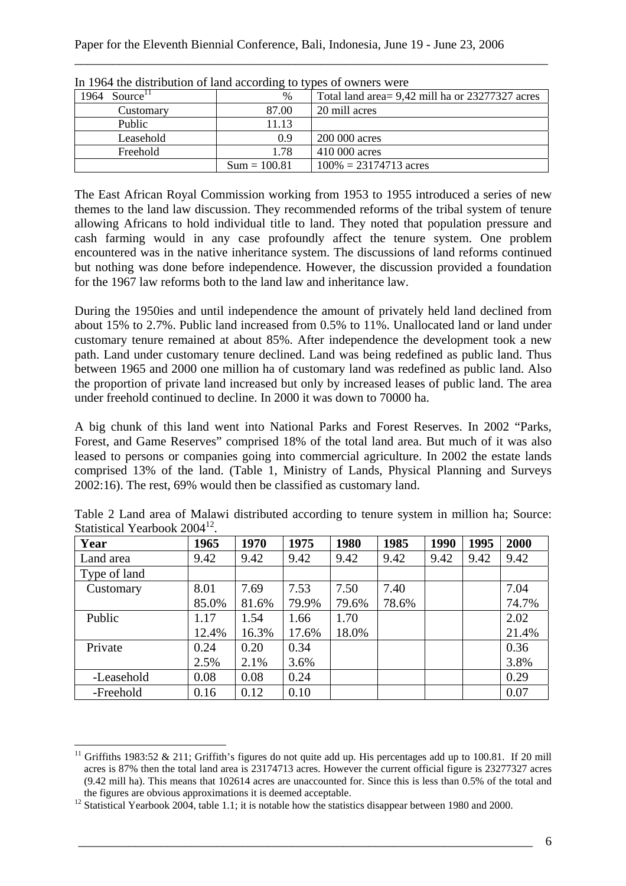| In 1904 and construction of hand according to types of owners were |                |                                                  |  |  |
|--------------------------------------------------------------------|----------------|--------------------------------------------------|--|--|
| Source <sup>11</sup><br>1964                                       | $\%$           | Total land area = 9,42 mill ha or 23277327 acres |  |  |
| Customary                                                          | 87.00          | 20 mill acres                                    |  |  |
| Public                                                             | 11.13          |                                                  |  |  |
| Leasehold                                                          | 0.9            | 200 000 acres                                    |  |  |
| Freehold                                                           | 1.78           | 410 000 acres                                    |  |  |
|                                                                    | $Sum = 100.81$ | $100\% = 23174713$ acres                         |  |  |

In 1964 the distribution of land according to types of owners were

The East African Royal Commission working from 1953 to 1955 introduced a series of new themes to the land law discussion. They recommended reforms of the tribal system of tenure allowing Africans to hold individual title to land. They noted that population pressure and cash farming would in any case profoundly affect the tenure system. One problem encountered was in the native inheritance system. The discussions of land reforms continued but nothing was done before independence. However, the discussion provided a foundation for the 1967 law reforms both to the land law and inheritance law.

During the 1950ies and until independence the amount of privately held land declined from about 15% to 2.7%. Public land increased from 0.5% to 11%. Unallocated land or land under customary tenure remained at about 85%. After independence the development took a new path. Land under customary tenure declined. Land was being redefined as public land. Thus between 1965 and 2000 one million ha of customary land was redefined as public land. Also the proportion of private land increased but only by increased leases of public land. The area under freehold continued to decline. In 2000 it was down to 70000 ha.

A big chunk of this land went into National Parks and Forest Reserves. In 2002 "Parks, Forest, and Game Reserves" comprised 18% of the total land area. But much of it was also leased to persons or companies going into commercial agriculture. In 2002 the estate lands comprised 13% of the land. (Table 1, Ministry of Lands, Physical Planning and Surveys 2002:16). The rest, 69% would then be classified as customary land.

| Year         | 1965  | 1970  | 1975  | 1980  | 1985  | 1990 | 1995 | 2000  |
|--------------|-------|-------|-------|-------|-------|------|------|-------|
| Land area    | 9.42  | 9.42  | 9.42  | 9.42  | 9.42  | 9.42 | 9.42 | 9.42  |
| Type of land |       |       |       |       |       |      |      |       |
| Customary    | 8.01  | 7.69  | 7.53  | 7.50  | 7.40  |      |      | 7.04  |
|              | 85.0% | 81.6% | 79.9% | 79.6% | 78.6% |      |      | 74.7% |
| Public       | 1.17  | 1.54  | 1.66  | 1.70  |       |      |      | 2.02  |
|              | 12.4% | 16.3% | 17.6% | 18.0% |       |      |      | 21.4% |
| Private      | 0.24  | 0.20  | 0.34  |       |       |      |      | 0.36  |
|              | 2.5%  | 2.1%  | 3.6%  |       |       |      |      | 3.8%  |
| -Leasehold   | 0.08  | 0.08  | 0.24  |       |       |      |      | 0.29  |
| -Freehold    | 0.16  | 0.12  | 0.10  |       |       |      |      | 0.07  |

Table 2 Land area of Malawi distributed according to tenure system in million ha; Source: Statistical Yearbook 2004<sup>12</sup>.

 $\overline{a}$ 

<sup>&</sup>lt;sup>11</sup> Griffiths 1983:52 & 211; Griffith's figures do not quite add up. His percentages add up to 100.81. If 20 mill acres is 87% then the total land area is 23174713 acres. However the current official figure is 23277327 acres (9.42 mill ha). This means that 102614 acres are unaccounted for. Since this is less than 0.5% of the total and

 $\frac{12}{12}$  Statistical Yearbook 2004, table 1.1; it is notable how the statistics disappear between 1980 and 2000.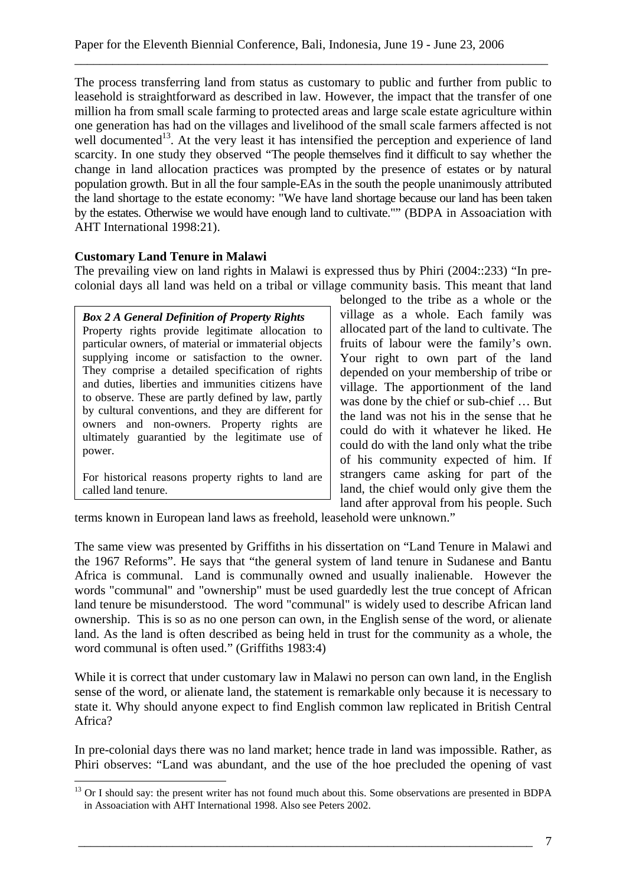The process transferring land from status as customary to public and further from public to leasehold is straightforward as described in law. However, the impact that the transfer of one million ha from small scale farming to protected areas and large scale estate agriculture within one generation has had on the villages and livelihood of the small scale farmers affected is not well documented<sup>13</sup>. At the very least it has intensified the perception and experience of land scarcity. In one study they observed "The people themselves find it difficult to say whether the change in land allocation practices was prompted by the presence of estates or by natural population growth. But in all the four sample-EAs in the south the people unanimously attributed the land shortage to the estate economy: "We have land shortage because our land has been taken by the estates. Otherwise we would have enough land to cultivate."" (BDPA in Assoaciation with AHT International 1998:21).

\_\_\_\_\_\_\_\_\_\_\_\_\_\_\_\_\_\_\_\_\_\_\_\_\_\_\_\_\_\_\_\_\_\_\_\_\_\_\_\_\_\_\_\_\_\_\_\_\_\_\_\_\_\_\_\_\_\_\_\_\_\_\_\_\_\_\_\_\_\_\_\_\_\_\_

# **Customary Land Tenure in Malawi**

The prevailing view on land rights in Malawi is expressed thus by Phiri (2004::233) "In precolonial days all land was held on a tribal or village community basis. This meant that land

*Box 2 A General Definition of Property Rights*  Property rights provide legitimate allocation to particular owners, of material or immaterial objects supplying income or satisfaction to the owner. They comprise a detailed specification of rights and duties, liberties and immunities citizens have to observe. These are partly defined by law, partly by cultural conventions, and they are different for owners and non-owners. Property rights are ultimately guarantied by the legitimate use of power.

For historical reasons property rights to land are called land tenure.

 $\overline{a}$ 

belonged to the tribe as a whole or the village as a whole. Each family was allocated part of the land to cultivate. The fruits of labour were the family's own. Your right to own part of the land depended on your membership of tribe or village. The apportionment of the land was done by the chief or sub-chief … But the land was not his in the sense that he could do with it whatever he liked. He could do with the land only what the tribe of his community expected of him. If strangers came asking for part of the land, the chief would only give them the land after approval from his people. Such

terms known in European land laws as freehold, leasehold were unknown."

The same view was presented by Griffiths in his dissertation on "Land Tenure in Malawi and the 1967 Reforms". He says that "the general system of land tenure in Sudanese and Bantu Africa is communal. Land is communally owned and usually inalienable. However the words "communal" and "ownership" must be used guardedly lest the true concept of African land tenure be misunderstood. The word "communal" is widely used to describe African land ownership. This is so as no one person can own, in the English sense of the word, or alienate land. As the land is often described as being held in trust for the community as a whole, the word communal is often used." (Griffiths 1983:4)

While it is correct that under customary law in Malawi no person can own land, in the English sense of the word, or alienate land, the statement is remarkable only because it is necessary to state it. Why should anyone expect to find English common law replicated in British Central Africa?

In pre-colonial days there was no land market; hence trade in land was impossible. Rather, as Phiri observes: "Land was abundant, and the use of the hoe precluded the opening of vast

<sup>&</sup>lt;sup>13</sup> Or I should say: the present writer has not found much about this. Some observations are presented in BDPA in Assoaciation with AHT International 1998. Also see Peters 2002.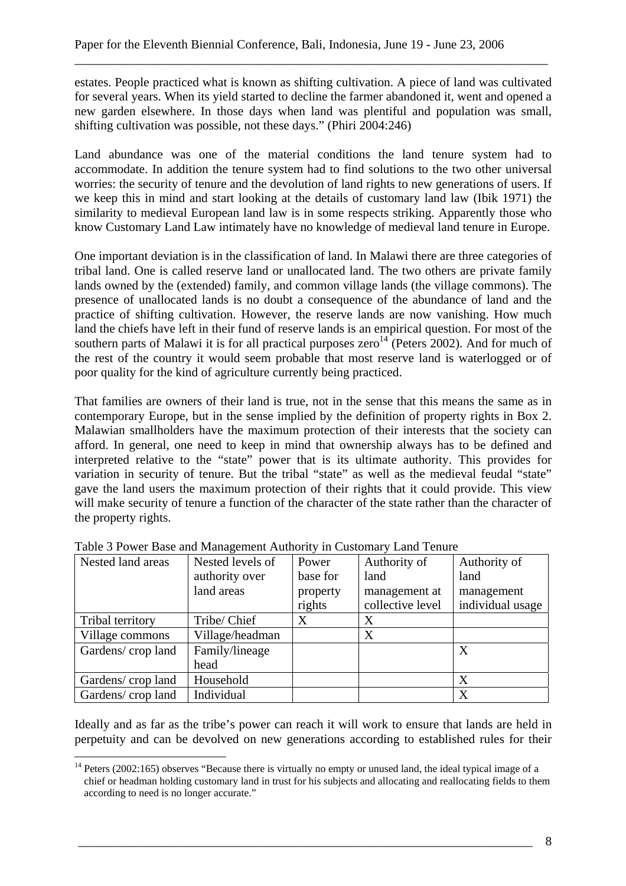estates. People practiced what is known as shifting cultivation. A piece of land was cultivated for several years. When its yield started to decline the farmer abandoned it, went and opened a new garden elsewhere. In those days when land was plentiful and population was small, shifting cultivation was possible, not these days." (Phiri 2004:246)

\_\_\_\_\_\_\_\_\_\_\_\_\_\_\_\_\_\_\_\_\_\_\_\_\_\_\_\_\_\_\_\_\_\_\_\_\_\_\_\_\_\_\_\_\_\_\_\_\_\_\_\_\_\_\_\_\_\_\_\_\_\_\_\_\_\_\_\_\_\_\_\_\_\_\_

Land abundance was one of the material conditions the land tenure system had to accommodate. In addition the tenure system had to find solutions to the two other universal worries: the security of tenure and the devolution of land rights to new generations of users. If we keep this in mind and start looking at the details of customary land law (Ibik 1971) the similarity to medieval European land law is in some respects striking. Apparently those who know Customary Land Law intimately have no knowledge of medieval land tenure in Europe.

One important deviation is in the classification of land. In Malawi there are three categories of tribal land. One is called reserve land or unallocated land. The two others are private family lands owned by the (extended) family, and common village lands (the village commons). The presence of unallocated lands is no doubt a consequence of the abundance of land and the practice of shifting cultivation. However, the reserve lands are now vanishing. How much land the chiefs have left in their fund of reserve lands is an empirical question. For most of the southern parts of Malawi it is for all practical purposes zero<sup>14</sup> (Peters 2002). And for much of the rest of the country it would seem probable that most reserve land is waterlogged or of poor quality for the kind of agriculture currently being practiced.

That families are owners of their land is true, not in the sense that this means the same as in contemporary Europe, but in the sense implied by the definition of property rights in Box 2. Malawian smallholders have the maximum protection of their interests that the society can afford. In general, one need to keep in mind that ownership always has to be defined and interpreted relative to the "state" power that is its ultimate authority. This provides for variation in security of tenure. But the tribal "state" as well as the medieval feudal "state" gave the land users the maximum protection of their rights that it could provide. This view will make security of tenure a function of the character of the state rather than the character of the property rights.

| Nested land areas | Nested levels of | Power    | Authority of     | Authority of     |
|-------------------|------------------|----------|------------------|------------------|
|                   | authority over   | base for | land             | land             |
|                   | land areas       | property | management at    | management       |
|                   |                  | rights   | collective level | individual usage |
| Tribal territory  | Tribe/ Chief     | X        | X                |                  |
| Village commons   | Village/headman  |          | X                |                  |
| Gardens/crop land | Family/lineage   |          |                  | X                |
|                   | head             |          |                  |                  |
| Gardens/crop land | Household        |          |                  | X                |
| Gardens/crop land | Individual       |          |                  | X                |

Table 3 Power Base and Management Authority in Customary Land Tenure

Ideally and as far as the tribe's power can reach it will work to ensure that lands are held in perpetuity and can be devolved on new generations according to established rules for their

 $\overline{a}$ <sup>14</sup> Peters (2002:165) observes "Because there is virtually no empty or unused land, the ideal typical image of a chief or headman holding customary land in trust for his subjects and allocating and reallocating fields to them according to need is no longer accurate."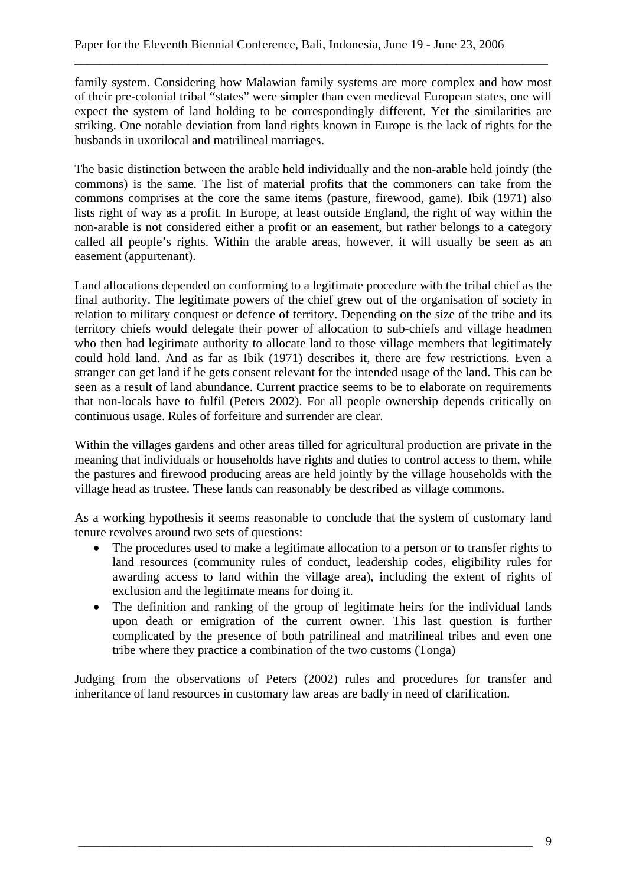family system. Considering how Malawian family systems are more complex and how most of their pre-colonial tribal "states" were simpler than even medieval European states, one will expect the system of land holding to be correspondingly different. Yet the similarities are striking. One notable deviation from land rights known in Europe is the lack of rights for the husbands in uxorilocal and matrilineal marriages.

\_\_\_\_\_\_\_\_\_\_\_\_\_\_\_\_\_\_\_\_\_\_\_\_\_\_\_\_\_\_\_\_\_\_\_\_\_\_\_\_\_\_\_\_\_\_\_\_\_\_\_\_\_\_\_\_\_\_\_\_\_\_\_\_\_\_\_\_\_\_\_\_\_\_\_

The basic distinction between the arable held individually and the non-arable held jointly (the commons) is the same. The list of material profits that the commoners can take from the commons comprises at the core the same items (pasture, firewood, game). Ibik (1971) also lists right of way as a profit. In Europe, at least outside England, the right of way within the non-arable is not considered either a profit or an easement, but rather belongs to a category called all people's rights. Within the arable areas, however, it will usually be seen as an easement (appurtenant).

Land allocations depended on conforming to a legitimate procedure with the tribal chief as the final authority. The legitimate powers of the chief grew out of the organisation of society in relation to military conquest or defence of territory. Depending on the size of the tribe and its territory chiefs would delegate their power of allocation to sub-chiefs and village headmen who then had legitimate authority to allocate land to those village members that legitimately could hold land. And as far as Ibik (1971) describes it, there are few restrictions. Even a stranger can get land if he gets consent relevant for the intended usage of the land. This can be seen as a result of land abundance. Current practice seems to be to elaborate on requirements that non-locals have to fulfil (Peters 2002). For all people ownership depends critically on continuous usage. Rules of forfeiture and surrender are clear.

Within the villages gardens and other areas tilled for agricultural production are private in the meaning that individuals or households have rights and duties to control access to them, while the pastures and firewood producing areas are held jointly by the village households with the village head as trustee. These lands can reasonably be described as village commons.

As a working hypothesis it seems reasonable to conclude that the system of customary land tenure revolves around two sets of questions:

- The procedures used to make a legitimate allocation to a person or to transfer rights to land resources (community rules of conduct, leadership codes, eligibility rules for awarding access to land within the village area), including the extent of rights of exclusion and the legitimate means for doing it.
- The definition and ranking of the group of legitimate heirs for the individual lands upon death or emigration of the current owner. This last question is further complicated by the presence of both patrilineal and matrilineal tribes and even one tribe where they practice a combination of the two customs (Tonga)

Judging from the observations of Peters (2002) rules and procedures for transfer and inheritance of land resources in customary law areas are badly in need of clarification.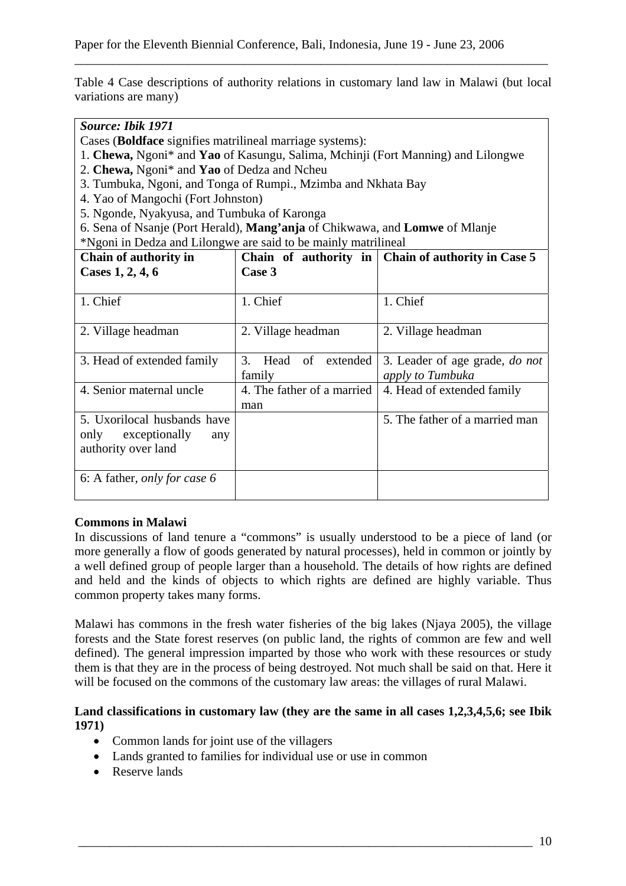Table 4 Case descriptions of authority relations in customary land law in Malawi (but local variations are many)

\_\_\_\_\_\_\_\_\_\_\_\_\_\_\_\_\_\_\_\_\_\_\_\_\_\_\_\_\_\_\_\_\_\_\_\_\_\_\_\_\_\_\_\_\_\_\_\_\_\_\_\_\_\_\_\_\_\_\_\_\_\_\_\_\_\_\_\_\_\_\_\_\_\_\_

# *Source: Ibik 1971*

Cases (**Boldface** signifies matrilineal marriage systems):

- 1. **Chewa,** Ngoni\* and **Yao** of Kasungu, Salima, Mchinji (Fort Manning) and Lilongwe
- 2. **Chewa,** Ngoni\* and **Yao** of Dedza and Ncheu
- 3. Tumbuka, Ngoni, and Tonga of Rumpi., Mzimba and Nkhata Bay
- 4. Yao of Mangochi (Fort Johnston)
- 5. Ngonde, Nyakyusa, and Tumbuka of Karonga
- 6. Sena of Nsanje (Port Herald), **Mang'anja** of Chikwawa, and **Lomwe** of Mlanje \*Ngoni in Dedza and Lilongwe are said to be mainly matrilineal

| Chain of authority in                                                              |                                     | Chain of authority in $\vert$ Chain of authority in Case 5 |
|------------------------------------------------------------------------------------|-------------------------------------|------------------------------------------------------------|
| Cases 1, 2, 4, 6                                                                   | Case 3                              |                                                            |
| 1. Chief                                                                           | 1. Chief                            | 1. Chief                                                   |
| 2. Village headman                                                                 | 2. Village headman                  | 2. Village headman                                         |
| 3. Head of extended family                                                         | 3.<br>extended<br>Head of<br>family | 3. Leader of age grade, <i>do not</i><br>apply to Tumbuka  |
| 4. Senior maternal uncle                                                           | 4. The father of a married<br>man   | 4. Head of extended family                                 |
| 5. Uxorilocal husbands have<br>exceptionally<br>only<br>any<br>authority over land |                                     | 5. The father of a married man                             |
| 6: A father, only for case 6                                                       |                                     |                                                            |

## **Commons in Malawi**

In discussions of land tenure a "commons" is usually understood to be a piece of land (or more generally a flow of goods generated by natural processes), held in common or jointly by a well defined group of people larger than a household. The details of how rights are defined and held and the kinds of objects to which rights are defined are highly variable. Thus common property takes many forms.

Malawi has commons in the fresh water fisheries of the big lakes (Njaya 2005), the village forests and the State forest reserves (on public land, the rights of common are few and well defined). The general impression imparted by those who work with these resources or study them is that they are in the process of being destroyed. Not much shall be said on that. Here it will be focused on the commons of the customary law areas: the villages of rural Malawi.

#### **Land classifications in customary law (they are the same in all cases 1,2,3,4,5,6; see Ibik 1971)**

- Common lands for joint use of the villagers
- Lands granted to families for individual use or use in common
- Reserve lands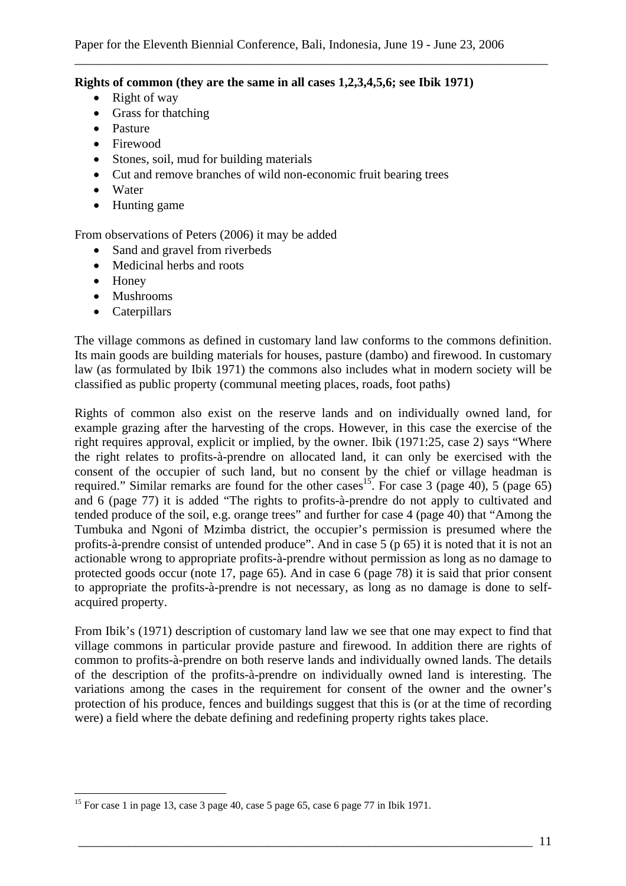#### **Rights of common (they are the same in all cases 1,2,3,4,5,6; see Ibik 1971)**

- Right of way
- Grass for thatching
- Pasture
- Firewood
- Stones, soil, mud for building materials
- Cut and remove branches of wild non-economic fruit bearing trees
- Water
- Hunting game

From observations of Peters (2006) it may be added

- Sand and gravel from riverbeds
- Medicinal herbs and roots
- Honey

 $\overline{a}$ 

- Mushrooms
- Caterpillars

The village commons as defined in customary land law conforms to the commons definition. Its main goods are building materials for houses, pasture (dambo) and firewood. In customary law (as formulated by Ibik 1971) the commons also includes what in modern society will be classified as public property (communal meeting places, roads, foot paths)

Rights of common also exist on the reserve lands and on individually owned land, for example grazing after the harvesting of the crops. However, in this case the exercise of the right requires approval, explicit or implied, by the owner. Ibik (1971:25, case 2) says "Where the right relates to profits-à-prendre on allocated land, it can only be exercised with the consent of the occupier of such land, but no consent by the chief or village headman is required." Similar remarks are found for the other cases<sup>15</sup>. For case 3 (page 40), 5 (page 65) and 6 (page 77) it is added "The rights to profits-à-prendre do not apply to cultivated and tended produce of the soil, e.g. orange trees" and further for case 4 (page 40) that "Among the Tumbuka and Ngoni of Mzimba district, the occupier's permission is presumed where the profits-à-prendre consist of untended produce". And in case 5 (p 65) it is noted that it is not an actionable wrong to appropriate profits-à-prendre without permission as long as no damage to protected goods occur (note 17, page 65). And in case 6 (page 78) it is said that prior consent to appropriate the profits-à-prendre is not necessary, as long as no damage is done to selfacquired property.

From Ibik's (1971) description of customary land law we see that one may expect to find that village commons in particular provide pasture and firewood. In addition there are rights of common to profits-à-prendre on both reserve lands and individually owned lands. The details of the description of the profits-à-prendre on individually owned land is interesting. The variations among the cases in the requirement for consent of the owner and the owner's protection of his produce, fences and buildings suggest that this is (or at the time of recording were) a field where the debate defining and redefining property rights takes place.

<sup>&</sup>lt;sup>15</sup> For case 1 in page 13, case 3 page 40, case 5 page 65, case 6 page 77 in Ibik 1971.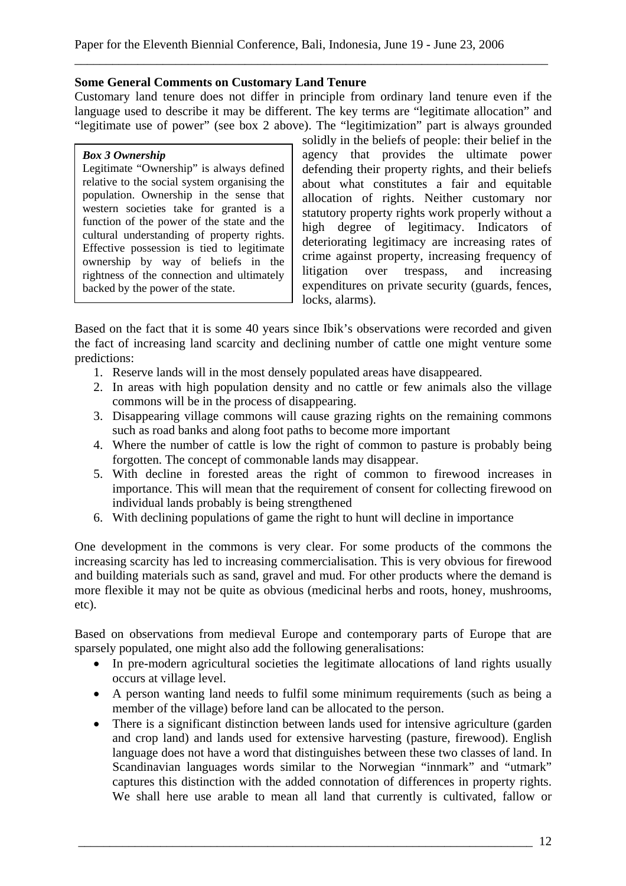#### **Some General Comments on Customary Land Tenure**

Customary land tenure does not differ in principle from ordinary land tenure even if the language used to describe it may be different. The key terms are "legitimate allocation" and "legitimate use of power" (see box 2 above). The "legitimization" part is always grounded

\_\_\_\_\_\_\_\_\_\_\_\_\_\_\_\_\_\_\_\_\_\_\_\_\_\_\_\_\_\_\_\_\_\_\_\_\_\_\_\_\_\_\_\_\_\_\_\_\_\_\_\_\_\_\_\_\_\_\_\_\_\_\_\_\_\_\_\_\_\_\_\_\_\_\_

#### *Box 3 Ownership*

Legitimate "Ownership" is always defined relative to the social system organising the population. Ownership in the sense that western societies take for granted is a function of the power of the state and the cultural understanding of property rights. Effective possession is tied to legitimate ownership by way of beliefs in the rightness of the connection and ultimately backed by the power of the state.

solidly in the beliefs of people: their belief in the agency that provides the ultimate power defending their property rights, and their beliefs about what constitutes a fair and equitable allocation of rights. Neither customary nor statutory property rights work properly without a high degree of legitimacy. Indicators of deteriorating legitimacy are increasing rates of crime against property, increasing frequency of litigation over trespass, and increasing expenditures on private security (guards, fences, locks, alarms).

Based on the fact that it is some 40 years since Ibik's observations were recorded and given the fact of increasing land scarcity and declining number of cattle one might venture some predictions:

- 1. Reserve lands will in the most densely populated areas have disappeared.
- 2. In areas with high population density and no cattle or few animals also the village commons will be in the process of disappearing.
- 3. Disappearing village commons will cause grazing rights on the remaining commons such as road banks and along foot paths to become more important
- 4. Where the number of cattle is low the right of common to pasture is probably being forgotten. The concept of commonable lands may disappear.
- 5. With decline in forested areas the right of common to firewood increases in importance. This will mean that the requirement of consent for collecting firewood on individual lands probably is being strengthened
- 6. With declining populations of game the right to hunt will decline in importance

One development in the commons is very clear. For some products of the commons the increasing scarcity has led to increasing commercialisation. This is very obvious for firewood and building materials such as sand, gravel and mud. For other products where the demand is more flexible it may not be quite as obvious (medicinal herbs and roots, honey, mushrooms, etc).

Based on observations from medieval Europe and contemporary parts of Europe that are sparsely populated, one might also add the following generalisations:

- In pre-modern agricultural societies the legitimate allocations of land rights usually occurs at village level.
- A person wanting land needs to fulfil some minimum requirements (such as being a member of the village) before land can be allocated to the person.
- There is a significant distinction between lands used for intensive agriculture (garden and crop land) and lands used for extensive harvesting (pasture, firewood). English language does not have a word that distinguishes between these two classes of land. In Scandinavian languages words similar to the Norwegian "innmark" and "utmark" captures this distinction with the added connotation of differences in property rights. We shall here use arable to mean all land that currently is cultivated, fallow or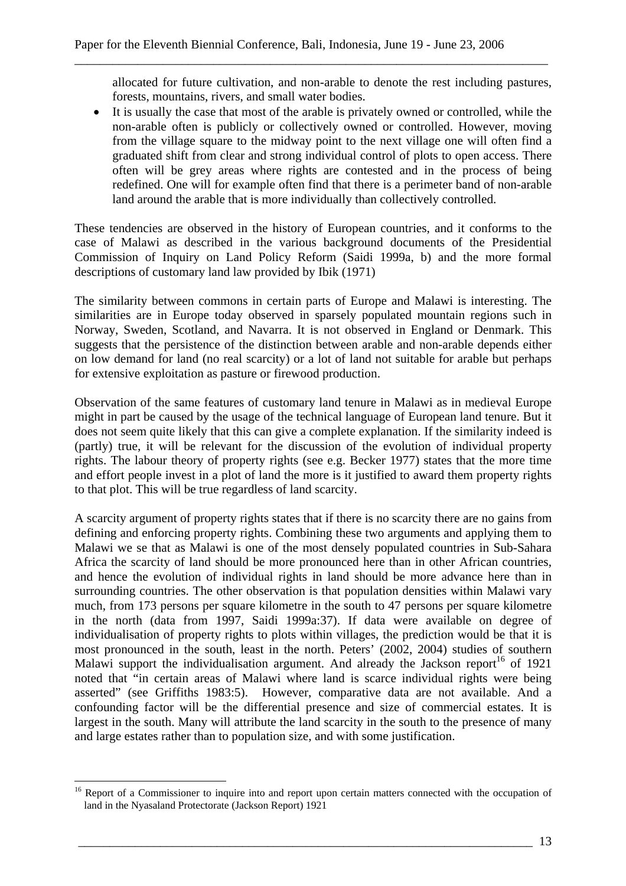allocated for future cultivation, and non-arable to denote the rest including pastures, forests, mountains, rivers, and small water bodies.

\_\_\_\_\_\_\_\_\_\_\_\_\_\_\_\_\_\_\_\_\_\_\_\_\_\_\_\_\_\_\_\_\_\_\_\_\_\_\_\_\_\_\_\_\_\_\_\_\_\_\_\_\_\_\_\_\_\_\_\_\_\_\_\_\_\_\_\_\_\_\_\_\_\_\_

• It is usually the case that most of the arable is privately owned or controlled, while the non-arable often is publicly or collectively owned or controlled. However, moving from the village square to the midway point to the next village one will often find a graduated shift from clear and strong individual control of plots to open access. There often will be grey areas where rights are contested and in the process of being redefined. One will for example often find that there is a perimeter band of non-arable land around the arable that is more individually than collectively controlled.

These tendencies are observed in the history of European countries, and it conforms to the case of Malawi as described in the various background documents of the Presidential Commission of Inquiry on Land Policy Reform (Saidi 1999a, b) and the more formal descriptions of customary land law provided by Ibik (1971)

The similarity between commons in certain parts of Europe and Malawi is interesting. The similarities are in Europe today observed in sparsely populated mountain regions such in Norway, Sweden, Scotland, and Navarra. It is not observed in England or Denmark. This suggests that the persistence of the distinction between arable and non-arable depends either on low demand for land (no real scarcity) or a lot of land not suitable for arable but perhaps for extensive exploitation as pasture or firewood production.

Observation of the same features of customary land tenure in Malawi as in medieval Europe might in part be caused by the usage of the technical language of European land tenure. But it does not seem quite likely that this can give a complete explanation. If the similarity indeed is (partly) true, it will be relevant for the discussion of the evolution of individual property rights. The labour theory of property rights (see e.g. Becker 1977) states that the more time and effort people invest in a plot of land the more is it justified to award them property rights to that plot. This will be true regardless of land scarcity.

A scarcity argument of property rights states that if there is no scarcity there are no gains from defining and enforcing property rights. Combining these two arguments and applying them to Malawi we se that as Malawi is one of the most densely populated countries in Sub-Sahara Africa the scarcity of land should be more pronounced here than in other African countries, and hence the evolution of individual rights in land should be more advance here than in surrounding countries. The other observation is that population densities within Malawi vary much, from 173 persons per square kilometre in the south to 47 persons per square kilometre in the north (data from 1997, Saidi 1999a:37). If data were available on degree of individualisation of property rights to plots within villages, the prediction would be that it is most pronounced in the south, least in the north. Peters' (2002, 2004) studies of southern Malawi support the individualisation argument. And already the Jackson report<sup>16</sup> of 1921 noted that "in certain areas of Malawi where land is scarce individual rights were being asserted" (see Griffiths 1983:5). However, comparative data are not available. And a confounding factor will be the differential presence and size of commercial estates. It is largest in the south. Many will attribute the land scarcity in the south to the presence of many and large estates rather than to population size, and with some justification.

 $\overline{a}$ 

<sup>&</sup>lt;sup>16</sup> Report of a Commissioner to inquire into and report upon certain matters connected with the occupation of land in the Nyasaland Protectorate (Jackson Report) 1921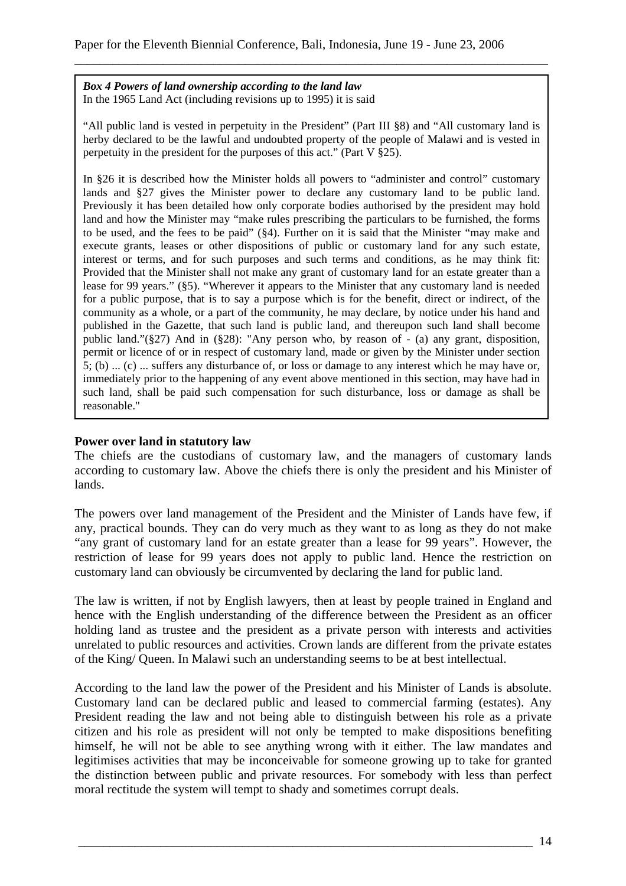*Box 4 Powers of land ownership according to the land law*  In the 1965 Land Act (including revisions up to 1995) it is said

"All public land is vested in perpetuity in the President" (Part III §8) and "All customary land is herby declared to be the lawful and undoubted property of the people of Malawi and is vested in perpetuity in the president for the purposes of this act." (Part V §25).

\_\_\_\_\_\_\_\_\_\_\_\_\_\_\_\_\_\_\_\_\_\_\_\_\_\_\_\_\_\_\_\_\_\_\_\_\_\_\_\_\_\_\_\_\_\_\_\_\_\_\_\_\_\_\_\_\_\_\_\_\_\_\_\_\_\_\_\_\_\_\_\_\_\_\_

In §26 it is described how the Minister holds all powers to "administer and control" customary lands and §27 gives the Minister power to declare any customary land to be public land. Previously it has been detailed how only corporate bodies authorised by the president may hold land and how the Minister may "make rules prescribing the particulars to be furnished, the forms to be used, and the fees to be paid" (§4). Further on it is said that the Minister "may make and execute grants, leases or other dispositions of public or customary land for any such estate, interest or terms, and for such purposes and such terms and conditions, as he may think fit: Provided that the Minister shall not make any grant of customary land for an estate greater than a lease for 99 years." (§5). "Wherever it appears to the Minister that any customary land is needed for a public purpose, that is to say a purpose which is for the benefit, direct or indirect, of the community as a whole, or a part of the community, he may declare, by notice under his hand and published in the Gazette, that such land is public land, and thereupon such land shall become public land."(§27) And in (§28): "Any person who, by reason of - (a) any grant, disposition, permit or licence of or in respect of customary land, made or given by the Minister under section  $\overline{5}$ ; (b) ... (c) ... suffers any disturbance of, or loss or damage to any interest which he may have or, immediately prior to the happening of any event above mentioned in this section, may have had in such land, shall be paid such compensation for such disturbance, loss or damage as shall be reasonable."

## **Power over land in statutory law**

The chiefs are the custodians of customary law, and the managers of customary lands according to customary law. Above the chiefs there is only the president and his Minister of lands.

The powers over land management of the President and the Minister of Lands have few, if any, practical bounds. They can do very much as they want to as long as they do not make "any grant of customary land for an estate greater than a lease for 99 years". However, the restriction of lease for 99 years does not apply to public land. Hence the restriction on customary land can obviously be circumvented by declaring the land for public land.

The law is written, if not by English lawyers, then at least by people trained in England and hence with the English understanding of the difference between the President as an officer holding land as trustee and the president as a private person with interests and activities unrelated to public resources and activities. Crown lands are different from the private estates of the King/ Queen. In Malawi such an understanding seems to be at best intellectual.

According to the land law the power of the President and his Minister of Lands is absolute. Customary land can be declared public and leased to commercial farming (estates). Any President reading the law and not being able to distinguish between his role as a private citizen and his role as president will not only be tempted to make dispositions benefiting himself, he will not be able to see anything wrong with it either. The law mandates and legitimises activities that may be inconceivable for someone growing up to take for granted the distinction between public and private resources. For somebody with less than perfect moral rectitude the system will tempt to shady and sometimes corrupt deals.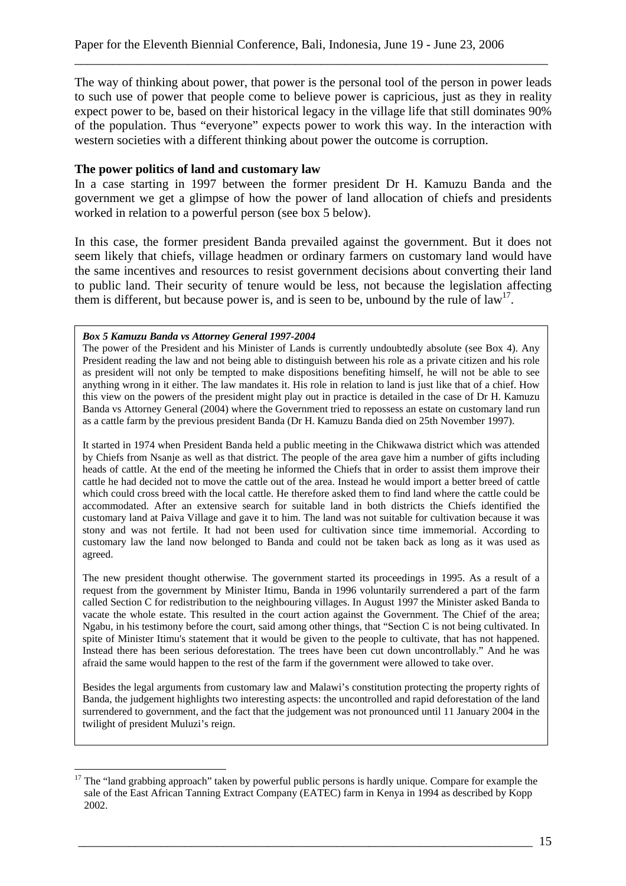The way of thinking about power, that power is the personal tool of the person in power leads to such use of power that people come to believe power is capricious, just as they in reality expect power to be, based on their historical legacy in the village life that still dominates 90% of the population. Thus "everyone" expects power to work this way. In the interaction with western societies with a different thinking about power the outcome is corruption.

\_\_\_\_\_\_\_\_\_\_\_\_\_\_\_\_\_\_\_\_\_\_\_\_\_\_\_\_\_\_\_\_\_\_\_\_\_\_\_\_\_\_\_\_\_\_\_\_\_\_\_\_\_\_\_\_\_\_\_\_\_\_\_\_\_\_\_\_\_\_\_\_\_\_\_

#### **The power politics of land and customary law**

In a case starting in 1997 between the former president Dr H. Kamuzu Banda and the government we get a glimpse of how the power of land allocation of chiefs and presidents worked in relation to a powerful person (see box 5 below).

In this case, the former president Banda prevailed against the government. But it does not seem likely that chiefs, village headmen or ordinary farmers on customary land would have the same incentives and resources to resist government decisions about converting their land to public land. Their security of tenure would be less, not because the legislation affecting them is different, but because power is, and is seen to be, unbound by the rule of  $\text{law}^{17}$ .

#### *Box 5 Kamuzu Banda vs Attorney General 1997-2004*

 $\overline{a}$ 

The power of the President and his Minister of Lands is currently undoubtedly absolute (see Box 4). Any President reading the law and not being able to distinguish between his role as a private citizen and his role as president will not only be tempted to make dispositions benefiting himself, he will not be able to see anything wrong in it either. The law mandates it. His role in relation to land is just like that of a chief. How this view on the powers of the president might play out in practice is detailed in the case of Dr H. Kamuzu Banda vs Attorney General (2004) where the Government tried to repossess an estate on customary land run as a cattle farm by the previous president Banda (Dr H. Kamuzu Banda died on 25th November 1997).

It started in 1974 when President Banda held a public meeting in the Chikwawa district which was attended by Chiefs from Nsanje as well as that district. The people of the area gave him a number of gifts including heads of cattle. At the end of the meeting he informed the Chiefs that in order to assist them improve their cattle he had decided not to move the cattle out of the area. Instead he would import a better breed of cattle which could cross breed with the local cattle. He therefore asked them to find land where the cattle could be accommodated. After an extensive search for suitable land in both districts the Chiefs identified the customary land at Paiva Village and gave it to him. The land was not suitable for cultivation because it was stony and was not fertile. It had not been used for cultivation since time immemorial. According to customary law the land now belonged to Banda and could not be taken back as long as it was used as agreed.

The new president thought otherwise. The government started its proceedings in 1995. As a result of a request from the government by Minister Itimu, Banda in 1996 voluntarily surrendered a part of the farm called Section C for redistribution to the neighbouring villages. In August 1997 the Minister asked Banda to vacate the whole estate. This resulted in the court action against the Government. The Chief of the area; Ngabu, in his testimony before the court, said among other things, that "Section C is not being cultivated. In spite of Minister Itimu's statement that it would be given to the people to cultivate, that has not happened. Instead there has been serious deforestation. The trees have been cut down uncontrollably." And he was afraid the same would happen to the rest of the farm if the government were allowed to take over.

Besides the legal arguments from customary law and Malawi's constitution protecting the property rights of Banda, the judgement highlights two interesting aspects: the uncontrolled and rapid deforestation of the land surrendered to government, and the fact that the judgement was not pronounced until 11 January 2004 in the twilight of president Muluzi's reign.

<sup>&</sup>lt;sup>17</sup> The "land grabbing approach" taken by powerful public persons is hardly unique. Compare for example the sale of the East African Tanning Extract Company (EATEC) farm in Kenya in 1994 as described by Kopp 2002.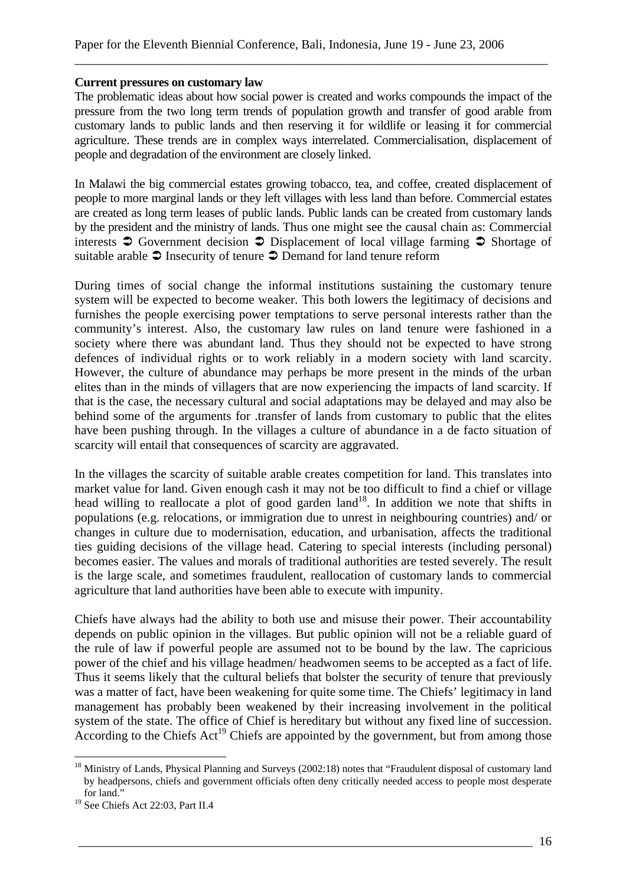#### **Current pressures on customary law**

The problematic ideas about how social power is created and works compounds the impact of the pressure from the two long term trends of population growth and transfer of good arable from customary lands to public lands and then reserving it for wildlife or leasing it for commercial agriculture. These trends are in complex ways interrelated. Commercialisation, displacement of people and degradation of the environment are closely linked.

\_\_\_\_\_\_\_\_\_\_\_\_\_\_\_\_\_\_\_\_\_\_\_\_\_\_\_\_\_\_\_\_\_\_\_\_\_\_\_\_\_\_\_\_\_\_\_\_\_\_\_\_\_\_\_\_\_\_\_\_\_\_\_\_\_\_\_\_\_\_\_\_\_\_\_

In Malawi the big commercial estates growing tobacco, tea, and coffee, created displacement of people to more marginal lands or they left villages with less land than before. Commercial estates are created as long term leases of public lands. Public lands can be created from customary lands by the president and the ministry of lands. Thus one might see the causal chain as: Commercial interests  $\supset$  Government decision  $\supset$  Displacement of local village farming  $\supset$  Shortage of suitable arable  $\supset$  Insecurity of tenure  $\supset$  Demand for land tenure reform

During times of social change the informal institutions sustaining the customary tenure system will be expected to become weaker. This both lowers the legitimacy of decisions and furnishes the people exercising power temptations to serve personal interests rather than the community's interest. Also, the customary law rules on land tenure were fashioned in a society where there was abundant land. Thus they should not be expected to have strong defences of individual rights or to work reliably in a modern society with land scarcity. However, the culture of abundance may perhaps be more present in the minds of the urban elites than in the minds of villagers that are now experiencing the impacts of land scarcity. If that is the case, the necessary cultural and social adaptations may be delayed and may also be behind some of the arguments for .transfer of lands from customary to public that the elites have been pushing through. In the villages a culture of abundance in a de facto situation of scarcity will entail that consequences of scarcity are aggravated.

In the villages the scarcity of suitable arable creates competition for land. This translates into market value for land. Given enough cash it may not be too difficult to find a chief or village head willing to reallocate a plot of good garden land<sup>18</sup>. In addition we note that shifts in populations (e.g. relocations, or immigration due to unrest in neighbouring countries) and/ or changes in culture due to modernisation, education, and urbanisation, affects the traditional ties guiding decisions of the village head. Catering to special interests (including personal) becomes easier. The values and morals of traditional authorities are tested severely. The result is the large scale, and sometimes fraudulent, reallocation of customary lands to commercial agriculture that land authorities have been able to execute with impunity.

Chiefs have always had the ability to both use and misuse their power. Their accountability depends on public opinion in the villages. But public opinion will not be a reliable guard of the rule of law if powerful people are assumed not to be bound by the law. The capricious power of the chief and his village headmen/ headwomen seems to be accepted as a fact of life. Thus it seems likely that the cultural beliefs that bolster the security of tenure that previously was a matter of fact, have been weakening for quite some time. The Chiefs' legitimacy in land management has probably been weakened by their increasing involvement in the political system of the state. The office of Chief is hereditary but without any fixed line of succession. According to the Chiefs Act<sup>19</sup> Chiefs are appointed by the government, but from among those

 $\overline{a}$ <sup>18</sup> Ministry of Lands, Physical Planning and Surveys (2002:18) notes that "Fraudulent disposal of customary land by headpersons, chiefs and government officials often deny critically needed access to people most desperate for land."

<sup>&</sup>lt;sup>19</sup> See Chiefs Act 22:03, Part II.4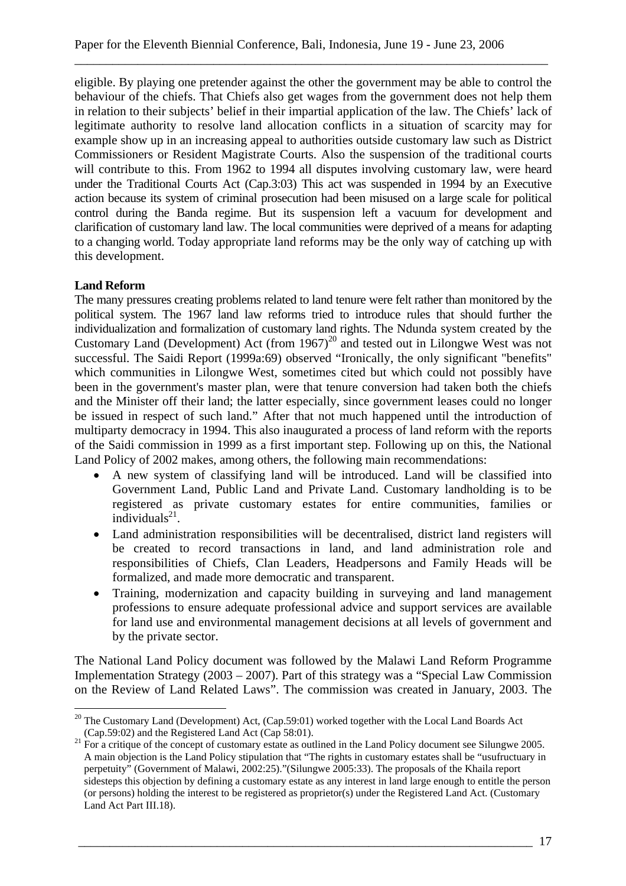eligible. By playing one pretender against the other the government may be able to control the behaviour of the chiefs. That Chiefs also get wages from the government does not help them in relation to their subjects' belief in their impartial application of the law. The Chiefs' lack of legitimate authority to resolve land allocation conflicts in a situation of scarcity may for example show up in an increasing appeal to authorities outside customary law such as District Commissioners or Resident Magistrate Courts. Also the suspension of the traditional courts will contribute to this. From 1962 to 1994 all disputes involving customary law, were heard under the Traditional Courts Act (Cap.3:03) This act was suspended in 1994 by an Executive action because its system of criminal prosecution had been misused on a large scale for political control during the Banda regime. But its suspension left a vacuum for development and clarification of customary land law. The local communities were deprived of a means for adapting to a changing world. Today appropriate land reforms may be the only way of catching up with this development.

\_\_\_\_\_\_\_\_\_\_\_\_\_\_\_\_\_\_\_\_\_\_\_\_\_\_\_\_\_\_\_\_\_\_\_\_\_\_\_\_\_\_\_\_\_\_\_\_\_\_\_\_\_\_\_\_\_\_\_\_\_\_\_\_\_\_\_\_\_\_\_\_\_\_\_

# **Land Reform**

The many pressures creating problems related to land tenure were felt rather than monitored by the political system. The 1967 land law reforms tried to introduce rules that should further the individualization and formalization of customary land rights. The Ndunda system created by the Customary Land (Development) Act (from 1967)20 and tested out in Lilongwe West was not successful. The Saidi Report (1999a:69) observed "Ironically, the only significant "benefits" which communities in Lilongwe West, sometimes cited but which could not possibly have been in the government's master plan, were that tenure conversion had taken both the chiefs and the Minister off their land; the latter especially, since government leases could no longer be issued in respect of such land." After that not much happened until the introduction of multiparty democracy in 1994. This also inaugurated a process of land reform with the reports of the Saidi commission in 1999 as a first important step. Following up on this, the National Land Policy of 2002 makes, among others, the following main recommendations:

- A new system of classifying land will be introduced. Land will be classified into Government Land, Public Land and Private Land. Customary landholding is to be registered as private customary estates for entire communities, families or individuals $^{21}$ .
- Land administration responsibilities will be decentralised, district land registers will be created to record transactions in land, and land administration role and responsibilities of Chiefs, Clan Leaders, Headpersons and Family Heads will be formalized, and made more democratic and transparent.
- Training, modernization and capacity building in surveying and land management professions to ensure adequate professional advice and support services are available for land use and environmental management decisions at all levels of government and by the private sector.

The National Land Policy document was followed by the Malawi Land Reform Programme Implementation Strategy (2003 – 2007). Part of this strategy was a "Special Law Commission on the Review of Land Related Laws". The commission was created in January, 2003. The

 $\overline{a}$ <sup>20</sup> The Customary Land (Development) Act, (Cap.59:01) worked together with the Local Land Boards Act

<sup>(</sup>Cap.59:02) and the Registered Land Act (Cap 58:01). 21 For a critique of the concept of customary estate as outlined in the Land Policy document see Silungwe 2005. A main objection is the Land Policy stipulation that "The rights in customary estates shall be "usufructuary in perpetuity" (Government of Malawi, 2002:25)."(Silungwe 2005:33). The proposals of the Khaila report sidesteps this objection by defining a customary estate as any interest in land large enough to entitle the person (or persons) holding the interest to be registered as proprietor(s) under the Registered Land Act. (Customary Land Act Part III.18).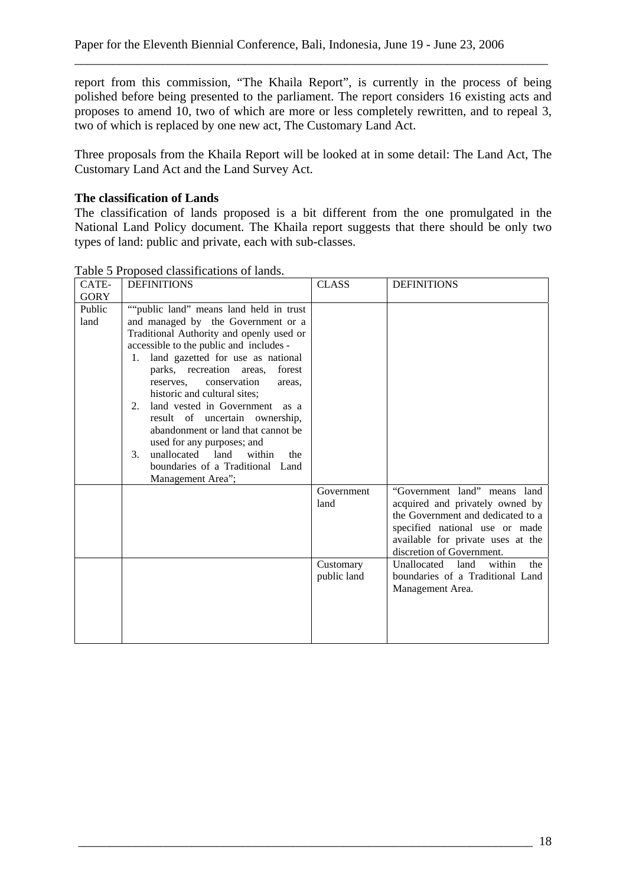report from this commission, "The Khaila Report", is currently in the process of being polished before being presented to the parliament. The report considers 16 existing acts and proposes to amend 10, two of which are more or less completely rewritten, and to repeal 3, two of which is replaced by one new act, The Customary Land Act.

\_\_\_\_\_\_\_\_\_\_\_\_\_\_\_\_\_\_\_\_\_\_\_\_\_\_\_\_\_\_\_\_\_\_\_\_\_\_\_\_\_\_\_\_\_\_\_\_\_\_\_\_\_\_\_\_\_\_\_\_\_\_\_\_\_\_\_\_\_\_\_\_\_\_\_

Three proposals from the Khaila Report will be looked at in some detail: The Land Act, The Customary Land Act and the Land Survey Act.

# **The classification of Lands**

The classification of lands proposed is a bit different from the one promulgated in the National Land Policy document. The Khaila report suggests that there should be only two types of land: public and private, each with sub-classes.

| CATE-          | <b>DEFINITIONS</b>                                                                                                                                                                                                                                                                                                                                                                                                                                                                                                                                                       | <b>CLASS</b>                                   | <b>DEFINITIONS</b>                                                                                                                                                                                                                                                                                       |
|----------------|--------------------------------------------------------------------------------------------------------------------------------------------------------------------------------------------------------------------------------------------------------------------------------------------------------------------------------------------------------------------------------------------------------------------------------------------------------------------------------------------------------------------------------------------------------------------------|------------------------------------------------|----------------------------------------------------------------------------------------------------------------------------------------------------------------------------------------------------------------------------------------------------------------------------------------------------------|
| <b>GORY</b>    |                                                                                                                                                                                                                                                                                                                                                                                                                                                                                                                                                                          |                                                |                                                                                                                                                                                                                                                                                                          |
| Public<br>land | ""public land" means land held in trust<br>and managed by the Government or a<br>Traditional Authority and openly used or<br>accessible to the public and includes -<br>land gazetted for use as national<br>1.<br>parks, recreation areas,<br>forest<br>conservation<br>reserves.<br>areas.<br>historic and cultural sites;<br>land vested in Government<br>2.<br>as a<br>result of uncertain ownership,<br>abandonment or land that cannot be<br>used for any purposes; and<br>unallocated land<br>3 <sub>1</sub><br>within<br>the<br>boundaries of a Traditional Land |                                                |                                                                                                                                                                                                                                                                                                          |
|                | Management Area";                                                                                                                                                                                                                                                                                                                                                                                                                                                                                                                                                        | Government<br>land<br>Customary<br>public land | "Government land" means land<br>acquired and privately owned by<br>the Government and dedicated to a<br>specified national use or made<br>available for private uses at the<br>discretion of Government.<br>Unallocated<br>land<br>within<br>the<br>boundaries of a Traditional Land<br>Management Area. |

Table 5 Proposed classifications of lands.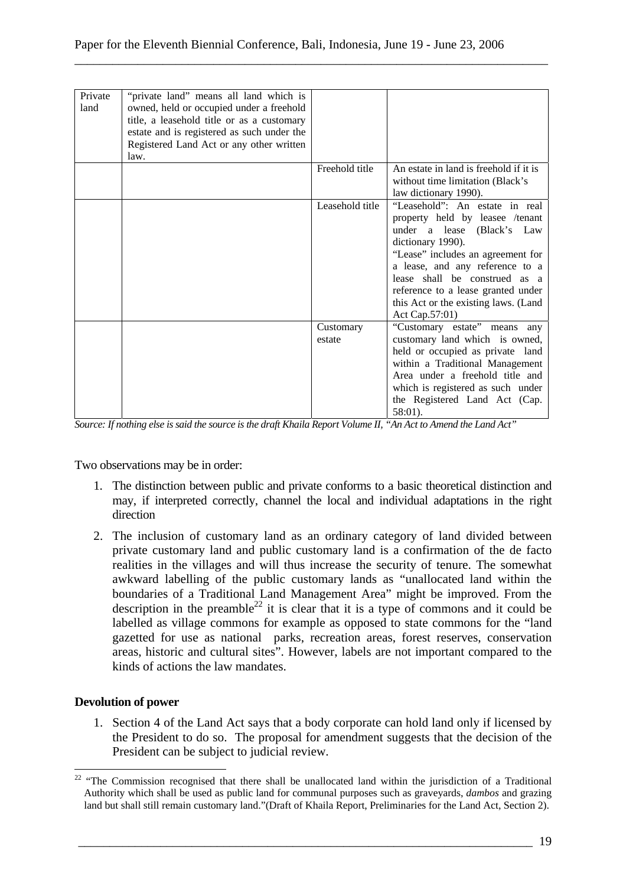| Private<br>land | "private land" means all land which is<br>owned, held or occupied under a freehold<br>title, a leasehold title or as a customary<br>estate and is registered as such under the<br>Registered Land Act or any other written<br>law. |                     |                                                                                                                                                                                                                                                                                                                               |
|-----------------|------------------------------------------------------------------------------------------------------------------------------------------------------------------------------------------------------------------------------------|---------------------|-------------------------------------------------------------------------------------------------------------------------------------------------------------------------------------------------------------------------------------------------------------------------------------------------------------------------------|
|                 |                                                                                                                                                                                                                                    | Freehold title      | An estate in land is freehold if it is<br>without time limitation (Black's<br>law dictionary 1990).                                                                                                                                                                                                                           |
|                 |                                                                                                                                                                                                                                    | Leasehold title     | "Leasehold": An estate in real<br>property held by leasee /tenant<br>under a lease (Black's Law<br>dictionary 1990).<br>"Lease" includes an agreement for<br>a lease, and any reference to a<br>lease shall be construed as a<br>reference to a lease granted under<br>this Act or the existing laws. (Land<br>Act Cap.57:01) |
|                 |                                                                                                                                                                                                                                    | Customary<br>estate | "Customary estate" means any<br>customary land which is owned,<br>held or occupied as private land<br>within a Traditional Management<br>Area under a freehold title and<br>which is registered as such under<br>the Registered Land Act (Cap.<br>58:01).                                                                     |

*Source: If nothing else is said the source is the draft Khaila Report Volume II, "An Act to Amend the Land Act"* 

Two observations may be in order:

- 1. The distinction between public and private conforms to a basic theoretical distinction and may, if interpreted correctly, channel the local and individual adaptations in the right direction
- 2. The inclusion of customary land as an ordinary category of land divided between private customary land and public customary land is a confirmation of the de facto realities in the villages and will thus increase the security of tenure. The somewhat awkward labelling of the public customary lands as "unallocated land within the boundaries of a Traditional Land Management Area" might be improved. From the description in the preamble<sup>22</sup> it is clear that it is a type of commons and it could be labelled as village commons for example as opposed to state commons for the "land gazetted for use as national parks, recreation areas, forest reserves, conservation areas, historic and cultural sites". However, labels are not important compared to the kinds of actions the law mandates.

## **Devolution of power**

 $\overline{a}$ 

1. Section 4 of the Land Act says that a body corporate can hold land only if licensed by the President to do so. The proposal for amendment suggests that the decision of the President can be subject to judicial review.

 $22$  "The Commission recognised that there shall be unallocated land within the jurisdiction of a Traditional Authority which shall be used as public land for communal purposes such as graveyards, *dambos* and grazing land but shall still remain customary land."(Draft of Khaila Report, Preliminaries for the Land Act, Section 2).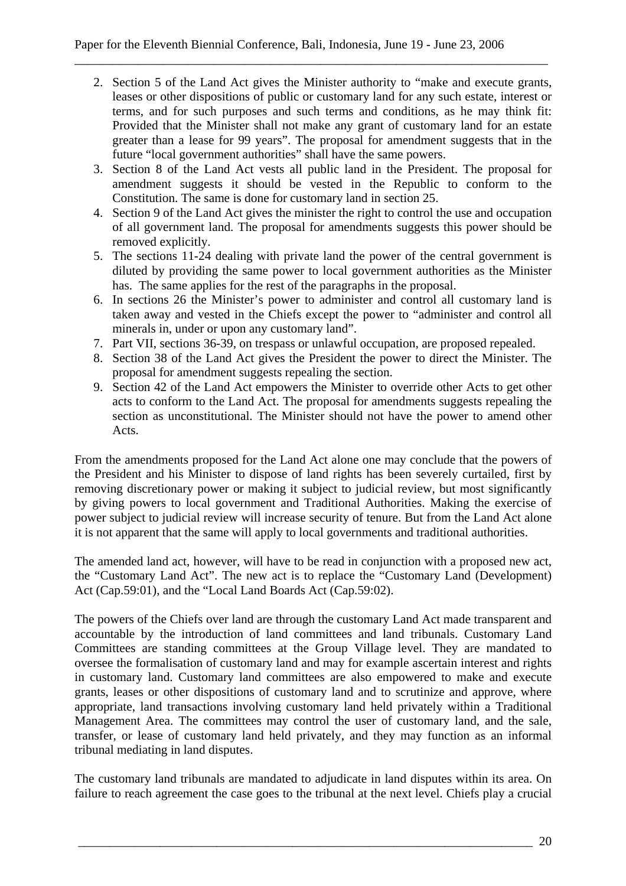2. Section 5 of the Land Act gives the Minister authority to "make and execute grants, leases or other dispositions of public or customary land for any such estate, interest or terms, and for such purposes and such terms and conditions, as he may think fit: Provided that the Minister shall not make any grant of customary land for an estate greater than a lease for 99 years". The proposal for amendment suggests that in the future "local government authorities" shall have the same powers.

\_\_\_\_\_\_\_\_\_\_\_\_\_\_\_\_\_\_\_\_\_\_\_\_\_\_\_\_\_\_\_\_\_\_\_\_\_\_\_\_\_\_\_\_\_\_\_\_\_\_\_\_\_\_\_\_\_\_\_\_\_\_\_\_\_\_\_\_\_\_\_\_\_\_\_

- 3. Section 8 of the Land Act vests all public land in the President. The proposal for amendment suggests it should be vested in the Republic to conform to the Constitution. The same is done for customary land in section 25.
- 4. Section 9 of the Land Act gives the minister the right to control the use and occupation of all government land. The proposal for amendments suggests this power should be removed explicitly.
- 5. The sections 11-24 dealing with private land the power of the central government is diluted by providing the same power to local government authorities as the Minister has. The same applies for the rest of the paragraphs in the proposal.
- 6. In sections 26 the Minister's power to administer and control all customary land is taken away and vested in the Chiefs except the power to "administer and control all minerals in, under or upon any customary land".
- 7. Part VII, sections 36-39, on trespass or unlawful occupation, are proposed repealed.
- 8. Section 38 of the Land Act gives the President the power to direct the Minister. The proposal for amendment suggests repealing the section.
- 9. Section 42 of the Land Act empowers the Minister to override other Acts to get other acts to conform to the Land Act. The proposal for amendments suggests repealing the section as unconstitutional. The Minister should not have the power to amend other Acts.

From the amendments proposed for the Land Act alone one may conclude that the powers of the President and his Minister to dispose of land rights has been severely curtailed, first by removing discretionary power or making it subject to judicial review, but most significantly by giving powers to local government and Traditional Authorities. Making the exercise of power subject to judicial review will increase security of tenure. But from the Land Act alone it is not apparent that the same will apply to local governments and traditional authorities.

The amended land act, however, will have to be read in conjunction with a proposed new act, the "Customary Land Act". The new act is to replace the "Customary Land (Development) Act (Cap.59:01), and the "Local Land Boards Act (Cap.59:02).

The powers of the Chiefs over land are through the customary Land Act made transparent and accountable by the introduction of land committees and land tribunals. Customary Land Committees are standing committees at the Group Village level. They are mandated to oversee the formalisation of customary land and may for example ascertain interest and rights in customary land. Customary land committees are also empowered to make and execute grants, leases or other dispositions of customary land and to scrutinize and approve, where appropriate, land transactions involving customary land held privately within a Traditional Management Area. The committees may control the user of customary land, and the sale, transfer, or lease of customary land held privately, and they may function as an informal tribunal mediating in land disputes.

The customary land tribunals are mandated to adjudicate in land disputes within its area. On failure to reach agreement the case goes to the tribunal at the next level. Chiefs play a crucial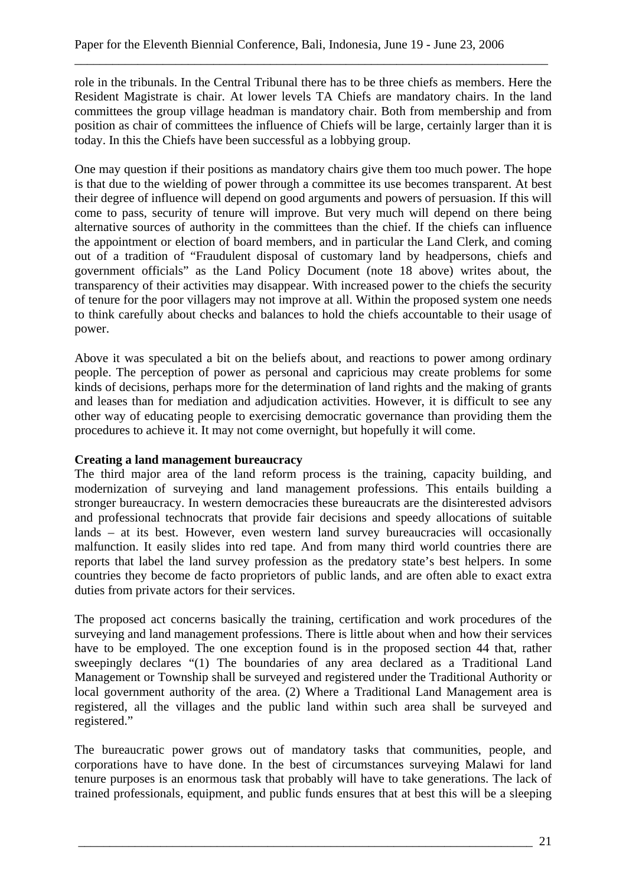role in the tribunals. In the Central Tribunal there has to be three chiefs as members. Here the Resident Magistrate is chair. At lower levels TA Chiefs are mandatory chairs. In the land committees the group village headman is mandatory chair. Both from membership and from position as chair of committees the influence of Chiefs will be large, certainly larger than it is today. In this the Chiefs have been successful as a lobbying group.

\_\_\_\_\_\_\_\_\_\_\_\_\_\_\_\_\_\_\_\_\_\_\_\_\_\_\_\_\_\_\_\_\_\_\_\_\_\_\_\_\_\_\_\_\_\_\_\_\_\_\_\_\_\_\_\_\_\_\_\_\_\_\_\_\_\_\_\_\_\_\_\_\_\_\_

One may question if their positions as mandatory chairs give them too much power. The hope is that due to the wielding of power through a committee its use becomes transparent. At best their degree of influence will depend on good arguments and powers of persuasion. If this will come to pass, security of tenure will improve. But very much will depend on there being alternative sources of authority in the committees than the chief. If the chiefs can influence the appointment or election of board members, and in particular the Land Clerk, and coming out of a tradition of "Fraudulent disposal of customary land by headpersons, chiefs and government officials" as the Land Policy Document (note 18 above) writes about, the transparency of their activities may disappear. With increased power to the chiefs the security of tenure for the poor villagers may not improve at all. Within the proposed system one needs to think carefully about checks and balances to hold the chiefs accountable to their usage of power.

Above it was speculated a bit on the beliefs about, and reactions to power among ordinary people. The perception of power as personal and capricious may create problems for some kinds of decisions, perhaps more for the determination of land rights and the making of grants and leases than for mediation and adjudication activities. However, it is difficult to see any other way of educating people to exercising democratic governance than providing them the procedures to achieve it. It may not come overnight, but hopefully it will come.

## **Creating a land management bureaucracy**

The third major area of the land reform process is the training, capacity building, and modernization of surveying and land management professions. This entails building a stronger bureaucracy. In western democracies these bureaucrats are the disinterested advisors and professional technocrats that provide fair decisions and speedy allocations of suitable lands – at its best. However, even western land survey bureaucracies will occasionally malfunction. It easily slides into red tape. And from many third world countries there are reports that label the land survey profession as the predatory state's best helpers. In some countries they become de facto proprietors of public lands, and are often able to exact extra duties from private actors for their services.

The proposed act concerns basically the training, certification and work procedures of the surveying and land management professions. There is little about when and how their services have to be employed. The one exception found is in the proposed section 44 that, rather sweepingly declares "(1) The boundaries of any area declared as a Traditional Land Management or Township shall be surveyed and registered under the Traditional Authority or local government authority of the area. (2) Where a Traditional Land Management area is registered, all the villages and the public land within such area shall be surveyed and registered."

The bureaucratic power grows out of mandatory tasks that communities, people, and corporations have to have done. In the best of circumstances surveying Malawi for land tenure purposes is an enormous task that probably will have to take generations. The lack of trained professionals, equipment, and public funds ensures that at best this will be a sleeping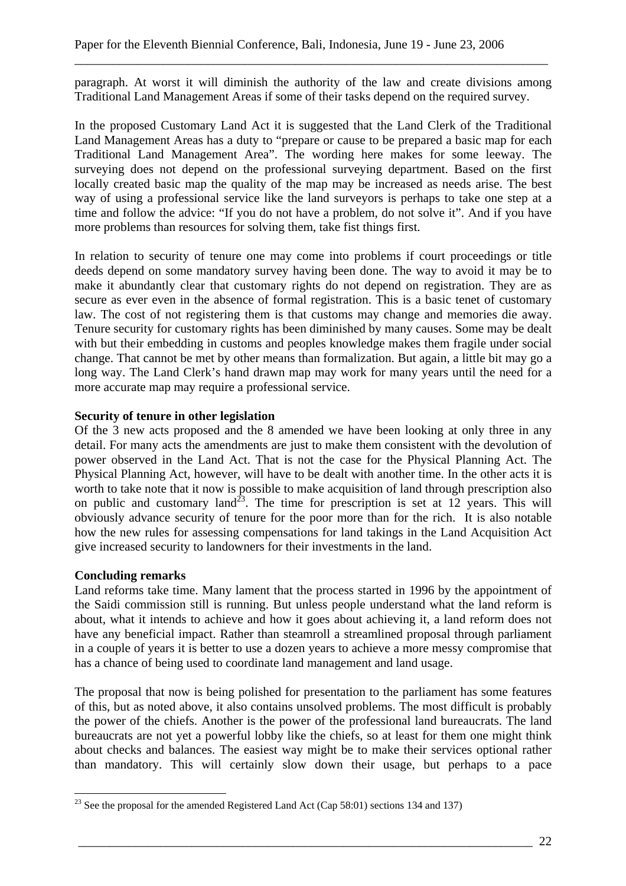paragraph. At worst it will diminish the authority of the law and create divisions among Traditional Land Management Areas if some of their tasks depend on the required survey.

\_\_\_\_\_\_\_\_\_\_\_\_\_\_\_\_\_\_\_\_\_\_\_\_\_\_\_\_\_\_\_\_\_\_\_\_\_\_\_\_\_\_\_\_\_\_\_\_\_\_\_\_\_\_\_\_\_\_\_\_\_\_\_\_\_\_\_\_\_\_\_\_\_\_\_

In the proposed Customary Land Act it is suggested that the Land Clerk of the Traditional Land Management Areas has a duty to "prepare or cause to be prepared a basic map for each Traditional Land Management Area". The wording here makes for some leeway. The surveying does not depend on the professional surveying department. Based on the first locally created basic map the quality of the map may be increased as needs arise. The best way of using a professional service like the land surveyors is perhaps to take one step at a time and follow the advice: "If you do not have a problem, do not solve it". And if you have more problems than resources for solving them, take fist things first.

In relation to security of tenure one may come into problems if court proceedings or title deeds depend on some mandatory survey having been done. The way to avoid it may be to make it abundantly clear that customary rights do not depend on registration. They are as secure as ever even in the absence of formal registration. This is a basic tenet of customary law. The cost of not registering them is that customs may change and memories die away. Tenure security for customary rights has been diminished by many causes. Some may be dealt with but their embedding in customs and peoples knowledge makes them fragile under social change. That cannot be met by other means than formalization. But again, a little bit may go a long way. The Land Clerk's hand drawn map may work for many years until the need for a more accurate map may require a professional service.

# **Security of tenure in other legislation**

Of the 3 new acts proposed and the 8 amended we have been looking at only three in any detail. For many acts the amendments are just to make them consistent with the devolution of power observed in the Land Act. That is not the case for the Physical Planning Act. The Physical Planning Act, however, will have to be dealt with another time. In the other acts it is worth to take note that it now is possible to make acquisition of land through prescription also on public and customary land<sup>23</sup>. The time for prescription is set at  $12$  years. This will obviously advance security of tenure for the poor more than for the rich. It is also notable how the new rules for assessing compensations for land takings in the Land Acquisition Act give increased security to landowners for their investments in the land.

## **Concluding remarks**

Land reforms take time. Many lament that the process started in 1996 by the appointment of the Saidi commission still is running. But unless people understand what the land reform is about, what it intends to achieve and how it goes about achieving it, a land reform does not have any beneficial impact. Rather than steamroll a streamlined proposal through parliament in a couple of years it is better to use a dozen years to achieve a more messy compromise that has a chance of being used to coordinate land management and land usage.

The proposal that now is being polished for presentation to the parliament has some features of this, but as noted above, it also contains unsolved problems. The most difficult is probably the power of the chiefs. Another is the power of the professional land bureaucrats. The land bureaucrats are not yet a powerful lobby like the chiefs, so at least for them one might think about checks and balances. The easiest way might be to make their services optional rather than mandatory. This will certainly slow down their usage, but perhaps to a pace

 $\overline{a}$ <sup>23</sup> See the proposal for the amended Registered Land Act (Cap 58:01) sections 134 and 137)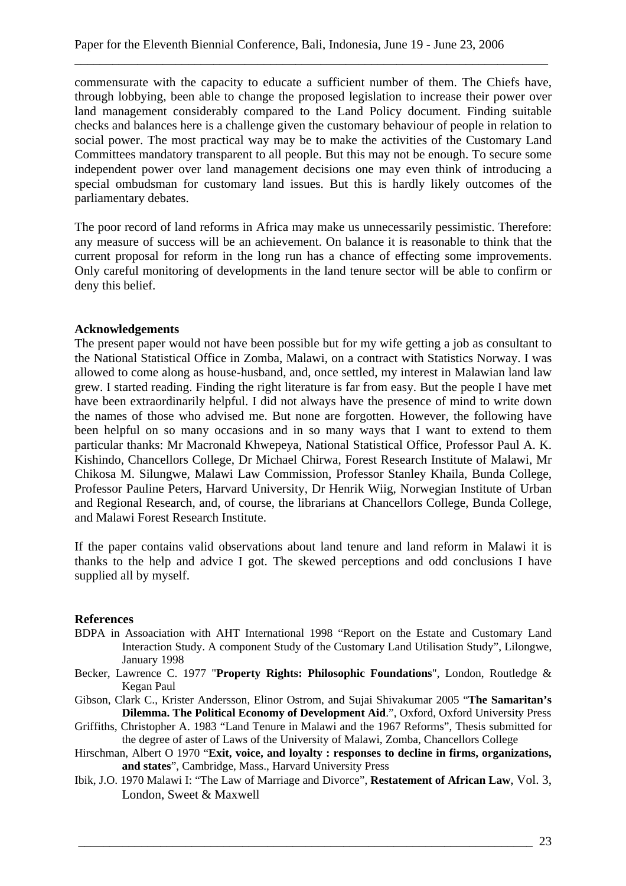commensurate with the capacity to educate a sufficient number of them. The Chiefs have, through lobbying, been able to change the proposed legislation to increase their power over land management considerably compared to the Land Policy document. Finding suitable checks and balances here is a challenge given the customary behaviour of people in relation to social power. The most practical way may be to make the activities of the Customary Land Committees mandatory transparent to all people. But this may not be enough. To secure some independent power over land management decisions one may even think of introducing a special ombudsman for customary land issues. But this is hardly likely outcomes of the parliamentary debates.

\_\_\_\_\_\_\_\_\_\_\_\_\_\_\_\_\_\_\_\_\_\_\_\_\_\_\_\_\_\_\_\_\_\_\_\_\_\_\_\_\_\_\_\_\_\_\_\_\_\_\_\_\_\_\_\_\_\_\_\_\_\_\_\_\_\_\_\_\_\_\_\_\_\_\_

The poor record of land reforms in Africa may make us unnecessarily pessimistic. Therefore: any measure of success will be an achievement. On balance it is reasonable to think that the current proposal for reform in the long run has a chance of effecting some improvements. Only careful monitoring of developments in the land tenure sector will be able to confirm or deny this belief.

#### **Acknowledgements**

The present paper would not have been possible but for my wife getting a job as consultant to the National Statistical Office in Zomba, Malawi, on a contract with Statistics Norway. I was allowed to come along as house-husband, and, once settled, my interest in Malawian land law grew. I started reading. Finding the right literature is far from easy. But the people I have met have been extraordinarily helpful. I did not always have the presence of mind to write down the names of those who advised me. But none are forgotten. However, the following have been helpful on so many occasions and in so many ways that I want to extend to them particular thanks: Mr Macronald Khwepeya, National Statistical Office, Professor Paul A. K. Kishindo, Chancellors College, Dr Michael Chirwa, Forest Research Institute of Malawi, Mr Chikosa M. Silungwe, Malawi Law Commission, Professor Stanley Khaila, Bunda College, Professor Pauline Peters, Harvard University, Dr Henrik Wiig, Norwegian Institute of Urban and Regional Research, and, of course, the librarians at Chancellors College, Bunda College, and Malawi Forest Research Institute.

If the paper contains valid observations about land tenure and land reform in Malawi it is thanks to the help and advice I got. The skewed perceptions and odd conclusions I have supplied all by myself.

#### **References**

- BDPA in Assoaciation with AHT International 1998 "Report on the Estate and Customary Land Interaction Study. A component Study of the Customary Land Utilisation Study", Lilongwe, January 1998
- Becker, Lawrence C. 1977 "**Property Rights: Philosophic Foundations**", London, Routledge & Kegan Paul
- Gibson, Clark C., Krister Andersson, Elinor Ostrom, and Sujai Shivakumar 2005 "**The Samaritan's Dilemma. The Political Economy of Development Aid**.", Oxford, Oxford University Press
- Griffiths, Christopher A. 1983 "Land Tenure in Malawi and the 1967 Reforms", Thesis submitted for the degree of aster of Laws of the University of Malawi, Zomba, Chancellors College
- Hirschman, Albert O 1970 "**Exit, voice, and loyalty : responses to decline in firms, organizations, and states**", Cambridge, Mass., Harvard University Press
- Ibik, J.O. 1970 Malawi I: "The Law of Marriage and Divorce", **Restatement of African Law**, Vol. 3, London, Sweet & Maxwell